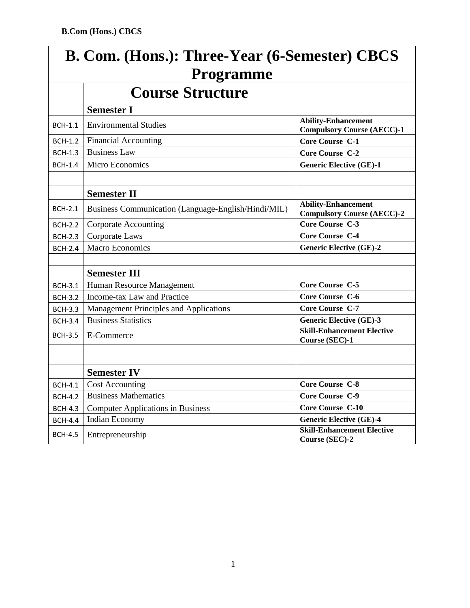| B. Com. (Hons.): Three-Year (6-Semester) CBCS<br><b>Programme</b> |                                                     |                                                                 |  |
|-------------------------------------------------------------------|-----------------------------------------------------|-----------------------------------------------------------------|--|
|                                                                   | <b>Course Structure</b>                             |                                                                 |  |
|                                                                   | <b>Semester I</b>                                   |                                                                 |  |
| <b>BCH-1.1</b>                                                    | <b>Environmental Studies</b>                        | <b>Ability-Enhancement</b><br><b>Compulsory Course (AECC)-1</b> |  |
| <b>BCH-1.2</b>                                                    | Financial Accounting                                | <b>Core Course C-1</b>                                          |  |
| <b>BCH-1.3</b>                                                    | <b>Business Law</b>                                 | <b>Core Course C-2</b>                                          |  |
| <b>BCH-1.4</b>                                                    | Micro Economics                                     | <b>Generic Elective (GE)-1</b>                                  |  |
|                                                                   |                                                     |                                                                 |  |
|                                                                   | <b>Semester II</b>                                  |                                                                 |  |
| <b>BCH-2.1</b>                                                    | Business Communication (Language-English/Hindi/MIL) | <b>Ability-Enhancement</b><br><b>Compulsory Course (AECC)-2</b> |  |
| <b>BCH-2.2</b>                                                    | <b>Corporate Accounting</b>                         | Core Course C-3                                                 |  |
| <b>BCH-2.3</b>                                                    | Corporate Laws                                      | Core Course C-4                                                 |  |
| <b>BCH-2.4</b>                                                    | <b>Macro Economics</b>                              | <b>Generic Elective (GE)-2</b>                                  |  |
|                                                                   |                                                     |                                                                 |  |
|                                                                   | <b>Semester III</b>                                 |                                                                 |  |
| <b>BCH-3.1</b>                                                    | Human Resource Management                           | Core Course C-5                                                 |  |
| <b>BCH-3.2</b>                                                    | Income-tax Law and Practice                         | <b>Core Course C-6</b>                                          |  |
| <b>BCH-3.3</b>                                                    | Management Principles and Applications              | <b>Core Course C-7</b>                                          |  |
| <b>BCH-3.4</b>                                                    | <b>Business Statistics</b>                          | <b>Generic Elective (GE)-3</b>                                  |  |
| <b>BCH-3.5</b>                                                    | E-Commerce                                          | <b>Skill-Enhancement Elective</b><br>Course (SEC)-1             |  |
|                                                                   |                                                     |                                                                 |  |
|                                                                   | <b>Semester IV</b>                                  |                                                                 |  |
| <b>BCH-4.1</b>                                                    | <b>Cost Accounting</b>                              | <b>Core Course C-8</b>                                          |  |
| <b>BCH-4.2</b>                                                    | <b>Business Mathematics</b>                         | Core Course C-9                                                 |  |
| <b>BCH-4.3</b>                                                    | <b>Computer Applications in Business</b>            | <b>Core Course C-10</b>                                         |  |
| <b>BCH-4.4</b>                                                    | Indian Economy                                      | <b>Generic Elective (GE)-4</b>                                  |  |
| <b>BCH-4.5</b>                                                    | Entrepreneurship                                    | <b>Skill-Enhancement Elective</b><br>Course (SEC)-2             |  |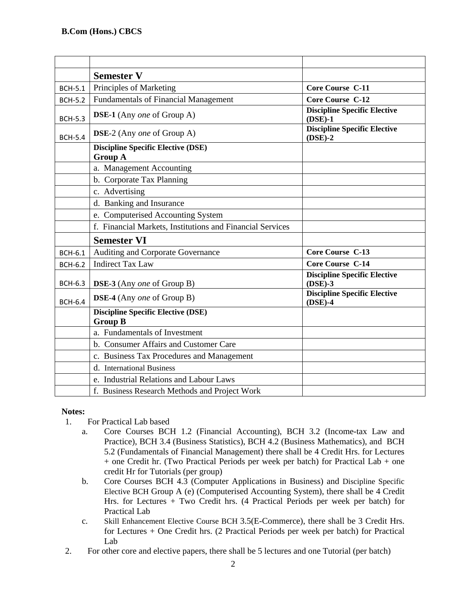|                | <b>Semester V</b>                                           |                                                  |
|----------------|-------------------------------------------------------------|--------------------------------------------------|
| <b>BCH-5.1</b> | Principles of Marketing                                     | <b>Core Course C-11</b>                          |
| <b>BCH-5.2</b> | <b>Fundamentals of Financial Management</b>                 | <b>Core Course C-12</b>                          |
| <b>BCH-5.3</b> | DSE-1 (Any one of Group A)                                  | <b>Discipline Specific Elective</b><br>$(DSE)-1$ |
| <b>BCH-5.4</b> | <b>DSE-2</b> (Any one of Group A)                           | <b>Discipline Specific Elective</b><br>$(DSE)-2$ |
|                | <b>Discipline Specific Elective (DSE)</b><br><b>Group A</b> |                                                  |
|                | a. Management Accounting                                    |                                                  |
|                | b. Corporate Tax Planning                                   |                                                  |
|                | c. Advertising                                              |                                                  |
|                | d. Banking and Insurance                                    |                                                  |
|                | e. Computerised Accounting System                           |                                                  |
|                | f. Financial Markets, Institutions and Financial Services   |                                                  |
|                | <b>Semester VI</b>                                          |                                                  |
| <b>BCH-6.1</b> | Auditing and Corporate Governance                           | <b>Core Course C-13</b>                          |
| <b>BCH-6.2</b> | <b>Indirect Tax Law</b>                                     | <b>Core Course C-14</b>                          |
| <b>BCH-6.3</b> | <b>DSE-3</b> (Any <i>one</i> of Group B)                    | <b>Discipline Specific Elective</b><br>$(DSE)-3$ |
| <b>BCH-6.4</b> | <b>DSE-4</b> (Any one of Group B)                           | <b>Discipline Specific Elective</b><br>$(DSE)-4$ |
|                | <b>Discipline Specific Elective (DSE)</b><br><b>Group B</b> |                                                  |
|                | a. Fundamentals of Investment                               |                                                  |
|                | b. Consumer Affairs and Customer Care                       |                                                  |
|                | c. Business Tax Procedures and Management                   |                                                  |
|                | d. International Business                                   |                                                  |
|                | e. Industrial Relations and Labour Laws                     |                                                  |
|                | f. Business Research Methods and Project Work               |                                                  |

# **Notes:**

- 1. For Practical Lab based
	- a. Core Courses BCH 1.2 (Financial Accounting), BCH 3.2 (Income-tax Law and Practice), BCH 3.4 (Business Statistics), BCH 4.2 (Business Mathematics), and BCH 5.2 (Fundamentals of Financial Management) there shall be 4 Credit Hrs. for Lectures + one Credit hr. (Two Practical Periods per week per batch) for Practical Lab + one credit Hr for Tutorials (per group)
	- b. Core Courses BCH 4.3 (Computer Applications in Business) and Discipline Specific Elective BCH Group A (e) (Computerised Accounting System), there shall be 4 Credit Hrs. for Lectures + Two Credit hrs. (4 Practical Periods per week per batch) for Practical Lab
	- c. Skill Enhancement Elective Course BCH 3.5(E-Commerce), there shall be 3 Credit Hrs. for Lectures + One Credit hrs. (2 Practical Periods per week per batch) for Practical Lab
- 2. For other core and elective papers, there shall be 5 lectures and one Tutorial (per batch)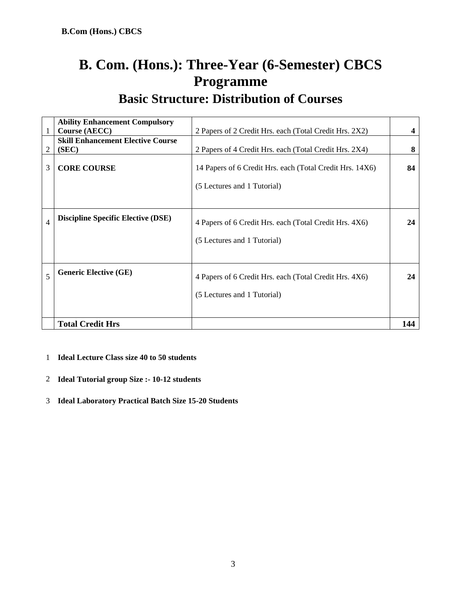# **B. Com. (Hons.): Three-Year (6-Semester) CBCS Programme**

**Basic Structure: Distribution of Courses** 

|                | <b>Ability Enhancement Compulsory</b>     |                                                                                         |     |
|----------------|-------------------------------------------|-----------------------------------------------------------------------------------------|-----|
|                | <b>Course (AECC)</b>                      | 2 Papers of 2 Credit Hrs. each (Total Credit Hrs. 2X2)                                  |     |
|                | <b>Skill Enhancement Elective Course</b>  |                                                                                         |     |
| 2              | (SEC)                                     | 2 Papers of 4 Credit Hrs. each (Total Credit Hrs. 2X4)                                  | 8   |
| 3              | <b>CORE COURSE</b>                        | 14 Papers of 6 Credit Hrs. each (Total Credit Hrs. 14X6)<br>(5 Lectures and 1 Tutorial) | 84  |
| $\overline{4}$ | <b>Discipline Specific Elective (DSE)</b> | 4 Papers of 6 Credit Hrs. each (Total Credit Hrs. 4X6)<br>(5 Lectures and 1 Tutorial)   | 24  |
| 5              | <b>Generic Elective (GE)</b>              | 4 Papers of 6 Credit Hrs. each (Total Credit Hrs. 4X6)<br>(5 Lectures and 1 Tutorial)   | 24  |
|                | <b>Total Credit Hrs</b>                   |                                                                                         | 144 |

1 **Ideal Lecture Class size 40 to 50 students** 

- 2 **Ideal Tutorial group Size :- 10-12 students**
- 3 **Ideal Laboratory Practical Batch Size 15-20 Students**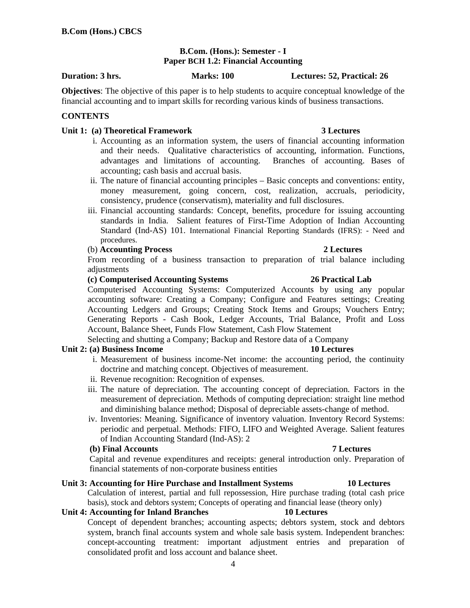# **B.Com. (Hons.): Semester - I Paper BCH 1.2: Financial Accounting**

**Duration: 3 hrs. Marks: 100 Lectures: 52, Practical: 26** 

**Objectives**: The objective of this paper is to help students to acquire conceptual knowledge of the financial accounting and to impart skills for recording various kinds of business transactions.

# **CONTENTS**

# **Unit 1: (a) Theoretical Framework 3 Lectures**

- i. Accounting as an information system, the users of financial accounting information and their needs. Qualitative characteristics of accounting, information. Functions, advantages and limitations of accounting. Branches of accounting. Bases of accounting; cash basis and accrual basis.
- ii. The nature of financial accounting principles Basic concepts and conventions: entity, money measurement, going concern, cost, realization, accruals, periodicity, consistency, prudence (conservatism), materiality and full disclosures.
- iii. Financial accounting standards: Concept, benefits, procedure for issuing accounting standards in India. Salient features of First-Time Adoption of Indian Accounting Standard (Ind-AS) 101. International Financial Reporting Standards (IFRS): - Need and procedures.

# (b) **Accounting Process 2 Lectures**

 From recording of a business transaction to preparation of trial balance including adjustments

### **(c) Computerised Accounting Systems 26 Practical Lab**

Computerised Accounting Systems: Computerized Accounts by using any popular accounting software: Creating a Company; Configure and Features settings; Creating Accounting Ledgers and Groups; Creating Stock Items and Groups; Vouchers Entry; Generating Reports - Cash Book, Ledger Accounts, Trial Balance, Profit and Loss Account, Balance Sheet, Funds Flow Statement, Cash Flow Statement

Selecting and shutting a Company; Backup and Restore data of a Company

### **Unit 2: (a) Business Income 10 Lectures**

- i. Measurement of business income-Net income: the accounting period, the continuity doctrine and matching concept. Objectives of measurement.
- ii. Revenue recognition: Recognition of expenses.
- iii. The nature of depreciation. The accounting concept of depreciation. Factors in the measurement of depreciation. Methods of computing depreciation: straight line method and diminishing balance method; Disposal of depreciable assets-change of method.
- iv. Inventories: Meaning. Significance of inventory valuation. Inventory Record Systems: periodic and perpetual. Methods: FIFO, LIFO and Weighted Average. Salient features of Indian Accounting Standard (Ind-AS): 2

# **(b) Final Accounts 7 Lectures**

Capital and revenue expenditures and receipts: general introduction only. Preparation of financial statements of non-corporate business entities

# **Unit 3: Accounting for Hire Purchase and Installment Systems 10 Lectures**

Calculation of interest, partial and full repossession, Hire purchase trading (total cash price basis), stock and debtors system; Concepts of operating and financial lease (theory only)

### **Unit 4: Accounting for Inland Branches 10 Lectures**

 Concept of dependent branches; accounting aspects; debtors system, stock and debtors system, branch final accounts system and whole sale basis system. Independent branches: concept-accounting treatment: important adjustment entries and preparation of consolidated profit and loss account and balance sheet.

### 4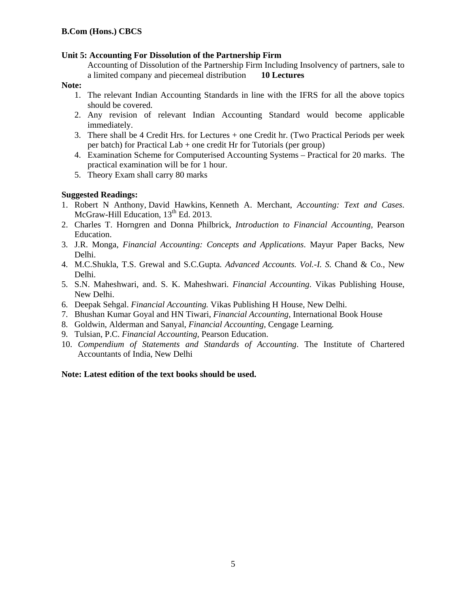# **Unit 5: Accounting For Dissolution of the Partnership Firm**

 Accounting of Dissolution of the Partnership Firm Including Insolvency of partners, sale to a limited company and piecemeal distribution **10 Lectures** 

# **Note:**

- 1. The relevant Indian Accounting Standards in line with the IFRS for all the above topics should be covered.
- 2. Any revision of relevant Indian Accounting Standard would become applicable immediately.
- 3. There shall be 4 Credit Hrs. for Lectures + one Credit hr. (Two Practical Periods per week per batch) for Practical Lab + one credit Hr for Tutorials (per group)
- 4. Examination Scheme for Computerised Accounting Systems Practical for 20 marks. The practical examination will be for 1 hour.
- 5. Theory Exam shall carry 80 marks

# **Suggested Readings:**

- 1. Robert N Anthony, David Hawkins, Kenneth A. Merchant, *Accounting: Text and Cases*. McGraw-Hill Education,  $13<sup>th</sup>$  Ed. 2013.
- 2. Charles T. Horngren and Donna Philbrick, *Introduction to Financial Accounting,* Pearson Education.
- 3. J.R. Monga, *Financial Accounting: Concepts and Applications*. Mayur Paper Backs, New Delhi.
- 4. M.C.Shukla, T.S. Grewal and S.C.Gupta*. Advanced Accounts. Vol.-I. S.* Chand & Co., New Delhi.
- 5. S.N. Maheshwari, and. S. K. Maheshwari. *Financial Accounting*. Vikas Publishing House, New Delhi.
- 6. Deepak Sehgal. *Financial Accounting.* Vikas Publishing H House, New Delhi.
- 7. Bhushan Kumar Goyal and HN Tiwari, *Financial Accounting,* International Book House
- 8. Goldwin, Alderman and Sanyal, *Financial Accounting,* Cengage Learning*.*
- 9. Tulsian, P.C. *Financial Accounting,* Pearson Education.
- 10. *Compendium of Statements and Standards of Accounting*. The Institute of Chartered Accountants of India, New Delhi

# **Note: Latest edition of the text books should be used.**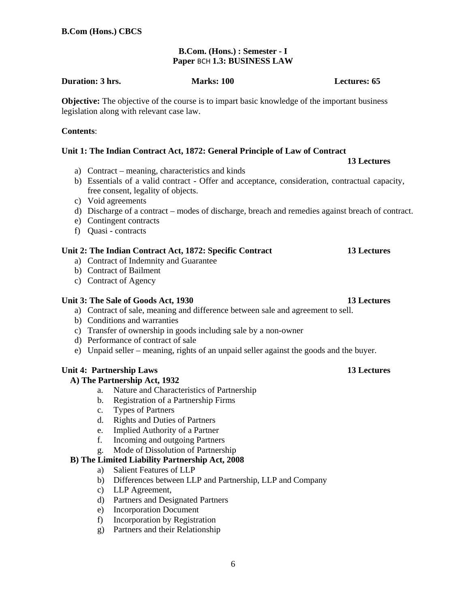# **B.Com. (Hons.) : Semester - I Paper** BCH **1.3: BUSINESS LAW**

### **Duration: 3 hrs.** Marks: 100 **Marks: 100** Lectures: 65

**Objective:** The objective of the course is to impart basic knowledge of the important business legislation along with relevant case law.

# **Contents**:

# **Unit 1: The Indian Contract Act, 1872: General Principle of Law of Contract**

- a) Contract meaning, characteristics and kinds
- b) Essentials of a valid contract Offer and acceptance, consideration, contractual capacity, free consent, legality of objects.
- c) Void agreements
- d) Discharge of a contract modes of discharge, breach and remedies against breach of contract.
- e) Contingent contracts
- f) Quasi contracts

# **Unit 2: The Indian Contract Act, 1872: Specific Contract 13 Lectures**

- a) Contract of Indemnity and Guarantee
- b) Contract of Bailment
- c) Contract of Agency

# **Unit 3: The Sale of Goods Act, 1930 13 Lectures**

- a) Contract of sale, meaning and difference between sale and agreement to sell.
- b) Conditions and warranties
- c) Transfer of ownership in goods including sale by a non-owner
- d) Performance of contract of sale
- e) Unpaid seller meaning, rights of an unpaid seller against the goods and the buyer.

# **Unit 4: Partnership Laws 13 Lectures 13 Lectures**

# **A) The Partnership Act, 1932**

- a. Nature and Characteristics of Partnership
- b. Registration of a Partnership Firms
- c. Types of Partners
- d. Rights and Duties of Partners
- e. Implied Authority of a Partner
- f. Incoming and outgoing Partners
- g. Mode of Dissolution of Partnership

# **B) The Limited Liability Partnership Act, 2008**

- a) Salient Features of LLP
- b) Differences between LLP and Partnership, LLP and Company
- c) LLP Agreement,
- d) Partners and Designated Partners
- e) Incorporation Document
- f) Incorporation by Registration
- g) Partners and their Relationship

# **13 Lectures**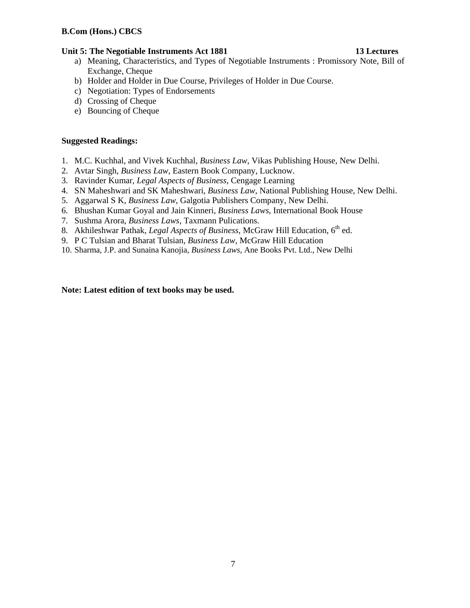# Unit 5: The Negotiable Instruments Act 1881 **13 Lectures**

- a) Meaning, Characteristics, and Types of Negotiable Instruments : Promissory Note, Bill of Exchange, Cheque
- b) Holder and Holder in Due Course, Privileges of Holder in Due Course.
- c) Negotiation: Types of Endorsements
- d) Crossing of Cheque
- e) Bouncing of Cheque

# **Suggested Readings:**

- 1. M.C. Kuchhal, and Vivek Kuchhal, *Business Law*, Vikas Publishing House, New Delhi.
- 2. Avtar Singh, *Business Law*, Eastern Book Company, Lucknow.
- 3. Ravinder Kumar, *Legal Aspects of Business*, Cengage Learning
- 4. SN Maheshwari and SK Maheshwari, *Business Law*, National Publishing House, New Delhi.
- 5. Aggarwal S K, *Business Law*, Galgotia Publishers Company, New Delhi.
- 6. Bhushan Kumar Goyal and Jain Kinneri, *Business Laws*, International Book House
- 7. Sushma Arora, *Business Laws*, Taxmann Pulications.
- 8. Akhileshwar Pathak, *Legal Aspects of Business*, McGraw Hill Education, 6<sup>th</sup> ed.
- 9. P C Tulsian and Bharat Tulsian, *Business Law*, McGraw Hill Education
- 10. Sharma, J.P. and Sunaina Kanojia, *Business Laws*, Ane Books Pvt. Ltd., New Delhi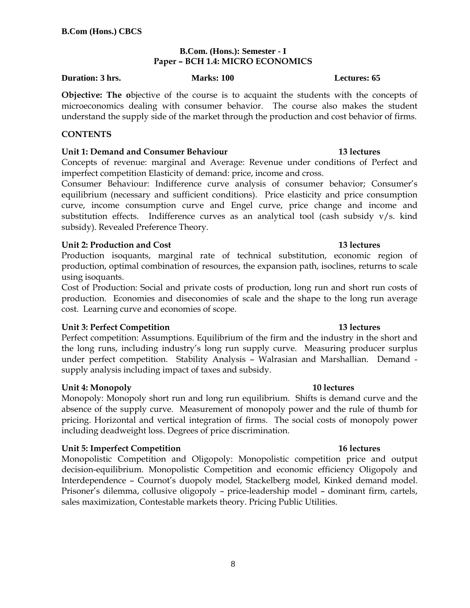# **B.Com. (Hons.): Semester - I Paper – BCH 1.4: MICRO ECONOMICS**

### **Duration: 3 hrs.** Marks: 100 **Marks: 100 Lectures: 65**

**Objective: The o**bjective of the course is to acquaint the students with the concepts of microeconomics dealing with consumer behavior. The course also makes the student understand the supply side of the market through the production and cost behavior of firms.

# **CONTENTS**

# **Unit 1: Demand and Consumer Behaviour 13 lectures**

Concepts of revenue: marginal and Average: Revenue under conditions of Perfect and imperfect competition Elasticity of demand: price, income and cross.

Consumer Behaviour: Indifference curve analysis of consumer behavior; Consumer's equilibrium (necessary and sufficient conditions). Price elasticity and price consumption curve, income consumption curve and Engel curve, price change and income and substitution effects. Indifference curves as an analytical tool (cash subsidy  $v/s$ . kind subsidy). Revealed Preference Theory.

# **Unit 2: Production and Cost 13 lectures**

Production isoquants, marginal rate of technical substitution, economic region of production, optimal combination of resources, the expansion path, isoclines, returns to scale using isoquants.

Cost of Production: Social and private costs of production, long run and short run costs of production. Economies and diseconomies of scale and the shape to the long run average cost. Learning curve and economies of scope.

# **Unit 3: Perfect Competition 23 and 23 and 23 and 23 and 23 and 23 and 23 and 23 and 23 and 23 and 23 and 23 and 23 and 23 and 23 and 23 and 23 and 23 and 23 and 23 and 23 and 23 and 23 and 23 and 23 and 23 and 23 and 23 a**

Perfect competition: Assumptions. Equilibrium of the firm and the industry in the short and the long runs, including industry's long run supply curve. Measuring producer surplus under perfect competition. Stability Analysis – Walrasian and Marshallian. Demand supply analysis including impact of taxes and subsidy.

# **Unit 4: Monopoly 2018 20:00 20:00 20:00 20:00 20:00 20:00 20:00 20:00 20:00 20:00 20:00 20:00 20:00 20:00 20:00**

Monopoly: Monopoly short run and long run equilibrium. Shifts is demand curve and the absence of the supply curve. Measurement of monopoly power and the rule of thumb for pricing. Horizontal and vertical integration of firms. The social costs of monopoly power including deadweight loss. Degrees of price discrimination.

# **Unit 5: Imperfect Competition 16 lectures**

Monopolistic Competition and Oligopoly: Monopolistic competition price and output decision-equilibrium. Monopolistic Competition and economic efficiency Oligopoly and Interdependence – Cournot's duopoly model, Stackelberg model, Kinked demand model. Prisoner's dilemma, collusive oligopoly – price-leadership model – dominant firm, cartels, sales maximization, Contestable markets theory. Pricing Public Utilities.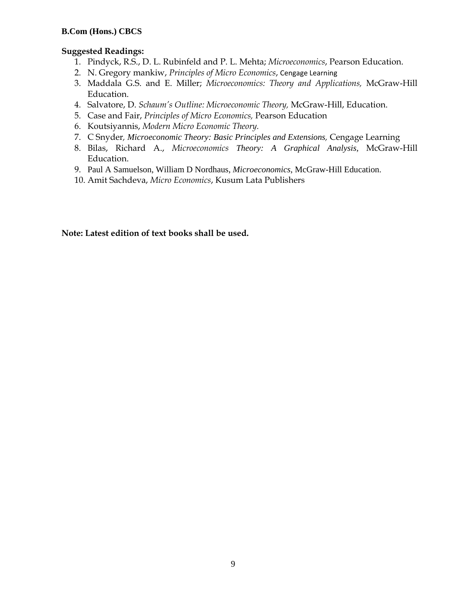# **Suggested Readings:**

- 1. Pindyck, R.S., D. L. Rubinfeld and P. L. Mehta; *Microeconomics*, Pearson Education.
- 2. N. Gregory mankiw, *Principles of Micro Economics*, Cengage Learning
- 3. Maddala G.S. and E. Miller; *Microeconomics: Theory and Applications,* McGraw-Hill Education.
- 4. Salvatore, D. *Schaum's Outline: Microeconomic Theory,* McGraw-Hill, Education.
- 5. Case and Fair, *Principles of Micro Economics,* Pearson Education
- 6. Koutsiyannis, *Modern Micro Economic Theory.*
- 7. C Snyder*, Microeconomic Theory: Basic Principles and Extensions,* Cengage Learning
- 8. Bilas, Richard A., *Microeconomics Theory: A Graphical Analysis,* McGraw-Hill Education.
- 9. Paul A Samuelson, William D Nordhaus, *Microeconomics*, McGraw-Hill Education.
- 10. Amit Sachdeva, *Micro Economics*, Kusum Lata Publishers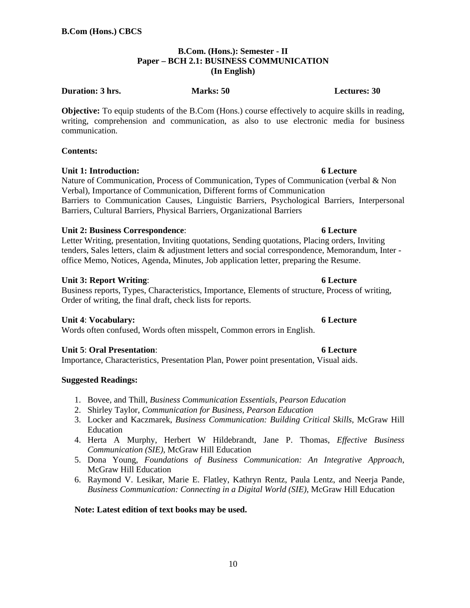### **B.Com. (Hons.): Semester - II Paper – BCH 2.1: BUSINESS COMMUNICATION (In English)**

### **Duration: 3 hrs.** Marks: 50 **Marks: 50 Lectures: 30**

**Objective:** To equip students of the B.Com (Hons.) course effectively to acquire skills in reading, writing, comprehension and communication, as also to use electronic media for business communication.

### **Contents:**

# **Unit 1: Introduction:** 6 Lecture **6** Lecture

Nature of Communication, Process of Communication, Types of Communication (verbal & Non Verbal), Importance of Communication, Different forms of Communication Barriers to Communication Causes, Linguistic Barriers, Psychological Barriers, Interpersonal Barriers, Cultural Barriers, Physical Barriers, Organizational Barriers

### **Unit 2: Business Correspondence**: **6 Lecture**

Letter Writing, presentation, Inviting quotations, Sending quotations, Placing orders, Inviting tenders, Sales letters, claim & adjustment letters and social correspondence, Memorandum, Inter office Memo, Notices, Agenda, Minutes, Job application letter, preparing the Resume.

### **Unit 3: Report Writing**: **6 Lecture**

Business reports, Types, Characteristics, Importance, Elements of structure, Process of writing, Order of writing, the final draft, check lists for reports.

### **Unit 4**: **Vocabulary: 6 Lecture**

Words often confused, Words often misspelt, Common errors in English.

### **Unit 5**: **Oral Presentation**: **6 Lecture**

Importance, Characteristics, Presentation Plan, Power point presentation, Visual aids.

### **Suggested Readings:**

- 1. Bovee, and Thill, *Business Communication Essentials, Pearson Education*
- 2. Shirley Taylor, *Communication for Business, Pearson Education*
- 3. Locker and Kaczmarek, *Business Communication: Building Critical Skills,* McGraw Hill Education
- 4. Herta A Murphy, Herbert W Hildebrandt, Jane P. Thomas, *Effective Business Communication (SIE)*, McGraw Hill Education
- 5. Dona Young, *Foundations of Business Communication: An Integrative Approach*, McGraw Hill Education
- 6. Raymond V. Lesikar, Marie E. Flatley, Kathryn Rentz, Paula Lentz, and Neerja Pande, *Business Communication: Connecting in a Digital World (SIE)*, McGraw Hill Education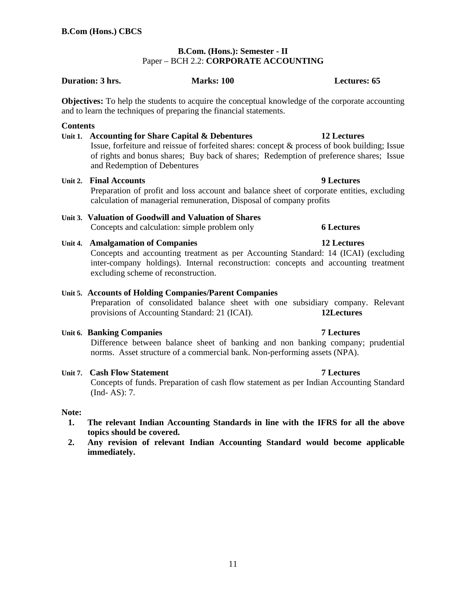# **B.Com. (Hons.): Semester - II**  Paper – BCH 2.2: **CORPORATE ACCOUNTING**

# **Duration: 3 hrs.** Marks: 100 **Marks: 100 Lectures: 65**

**Objectives:** To help the students to acquire the conceptual knowledge of the corporate accounting and to learn the techniques of preparing the financial statements.

### **Contents**

### **Unit 1. Accounting for Share Capital & Debentures 12 Lectures**

 Issue, forfeiture and reissue of forfeited shares: concept & process of book building; Issue of rights and bonus shares; Buy back of shares; Redemption of preference shares; Issue and Redemption of Debentures

### **Unit 2. Final Accounts 9 Lectures**

 Preparation of profit and loss account and balance sheet of corporate entities, excluding calculation of managerial remuneration, Disposal of company profits

# **Unit 3. Valuation of Goodwill and Valuation of Shares**

Concepts and calculation: simple problem only **6 Lectures** 

### **Unit 4. Amalgamation of Companies 12 Lectures**

 Concepts and accounting treatment as per Accounting Standard: 14 (ICAI) (excluding inter-company holdings). Internal reconstruction: concepts and accounting treatment excluding scheme of reconstruction.

# **Unit 5. Accounts of Holding Companies/Parent Companies**

Preparation of consolidated balance sheet with one subsidiary company. Relevant provisions of Accounting Standard: 21 (ICAI). **12Lectures**

### **Unit 6. Banking Companies 7 Lectures**

 Difference between balance sheet of banking and non banking company; prudential norms. Asset structure of a commercial bank. Non-performing assets (NPA).

### **Unit 7. Cash Flow Statement 7 Lectures**

 Concepts of funds. Preparation of cash flow statement as per Indian Accounting Standard (Ind- AS): 7.

### **Note:**

- **1. The relevant Indian Accounting Standards in line with the IFRS for all the above topics should be covered.**
- **2. Any revision of relevant Indian Accounting Standard would become applicable immediately.**

11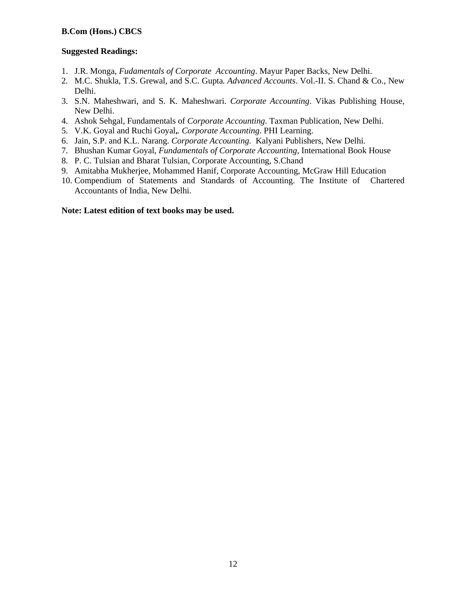### **Suggested Readings:**

- 1. J.R. Monga, *Fudamentals of Corporate Accounting*. Mayur Paper Backs, New Delhi.
- 2. M.C. Shukla, T.S. Grewal, and S.C. Gupta*. Advanced Accounts*. Vol.-II. S. Chand & Co., New Delhi.
- 3. S.N. Maheshwari, and S. K. Maheshwari. *Corporate Accounting*. Vikas Publishing House, New Delhi.
- 4. Ashok Sehgal, Fundamentals of *Corporate Accounting*. Taxman Publication, New Delhi.
- 5. V.K. Goyal and Ruchi Goyal**,***. Corporate Accounting*. PHI Learning.
- 6. Jain, S.P. and K.L. Narang. *Corporate Accounting*. Kalyani Publishers, New Delhi.
- 7. Bhushan Kumar Goyal, *Fundamentals of Corporate Accounting,* International Book House
- 8. P. C. Tulsian and Bharat Tulsian, Corporate Accounting, S.Chand
- 9. Amitabha Mukherjee, Mohammed Hanif, Corporate Accounting, McGraw Hill Education
- 10. Compendium of Statements and Standards of Accounting. The Institute of Chartered Accountants of India, New Delhi.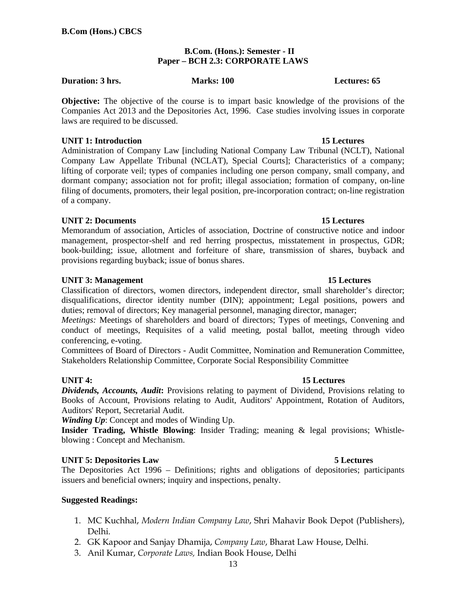# **B.Com. (Hons.): Semester - II Paper – BCH 2.3: CORPORATE LAWS**

# **Duration: 3 hrs.** Marks: 100 **Marks: 100 Lectures: 65**

**Objective:** The objective of the course is to impart basic knowledge of the provisions of the Companies Act 2013 and the Depositories Act, 1996. Case studies involving issues in corporate laws are required to be discussed.

# **UNIT 1: Introduction 15 Lectures 15 Lectures**

Administration of Company Law [including National Company Law Tribunal (NCLT), National Company Law Appellate Tribunal (NCLAT), Special Courts]; Characteristics of a company; lifting of corporate veil; types of companies including one person company, small company, and dormant company; association not for profit; illegal association; formation of company, on-line filing of documents, promoters, their legal position, pre-incorporation contract; on-line registration of a company.

# **UNIT 2: Documents 15 Lectures**

Memorandum of association, Articles of association, Doctrine of constructive notice and indoor management, prospector-shelf and red herring prospectus, misstatement in prospectus, GDR; book-building; issue, allotment and forfeiture of share, transmission of shares, buyback and provisions regarding buyback; issue of bonus shares.

# **UNIT 3: Management 15 Lectures 15 Lectures**

Classification of directors, women directors, independent director, small shareholder's director; disqualifications, director identity number (DIN); appointment; Legal positions, powers and duties; removal of directors; Key managerial personnel, managing director, manager;

*Meetings:* Meetings of shareholders and board of directors; Types of meetings, Convening and conduct of meetings, Requisites of a valid meeting, postal ballot, meeting through video conferencing, e-voting.

Committees of Board of Directors - Audit Committee, Nomination and Remuneration Committee, Stakeholders Relationship Committee, Corporate Social Responsibility Committee

# **UNIT 4:** 15 Lectures

*Dividends, Accounts, Audit***:** Provisions relating to payment of Dividend, Provisions relating to Books of Account, Provisions relating to Audit, Auditors' Appointment, Rotation of Auditors, Auditors' Report, Secretarial Audit.

*Winding Up*: Concept and modes of Winding Up.

**Insider Trading, Whistle Blowing**: Insider Trading; meaning & legal provisions; Whistleblowing : Concept and Mechanism.

# **UNIT 5: Depositories Law 5 Lectures**

The Depositories Act 1996 – Definitions; rights and obligations of depositories; participants issuers and beneficial owners; inquiry and inspections, penalty.

### **Suggested Readings:**

- 1. MC Kuchhal, *Modern Indian Company Law*, Shri Mahavir Book Depot (Publishers), Delhi.
- 2. GK Kapoor and Sanjay Dhamija, *Company Law*, Bharat Law House, Delhi.
- 3. Anil Kumar, *Corporate Laws,* Indian Book House, Delhi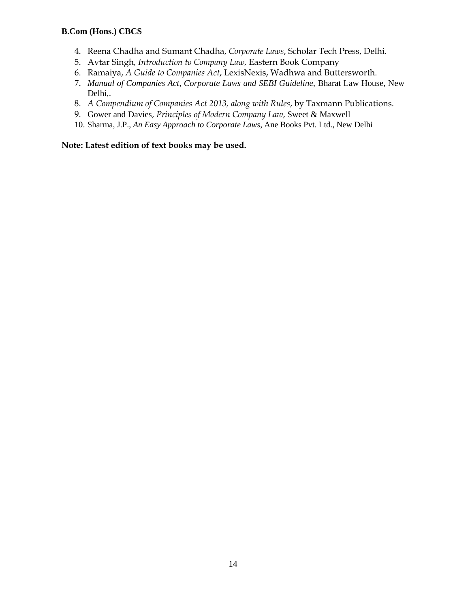- 4. Reena Chadha and Sumant Chadha, *Corporate Laws*, Scholar Tech Press, Delhi.
- 5. Avtar Singh*, Introduction to Company Law,* Eastern Book Company
- 6. Ramaiya, *A Guide to Companies Act*, LexisNexis, Wadhwa and Buttersworth.
- 7. *Manual of Companies Act, Corporate Laws and SEBI Guideline,* Bharat Law House, New Delhi,.
- 8. *A Compendium of Companies Act 2013, along with Rules*, by Taxmann Publications.
- 9. Gower and Davies, *Principles of Modern Company Law*, Sweet & Maxwell
- 10. Sharma, J.P., *An Easy Approach to Corporate Laws*, Ane Books Pvt. Ltd., New Delhi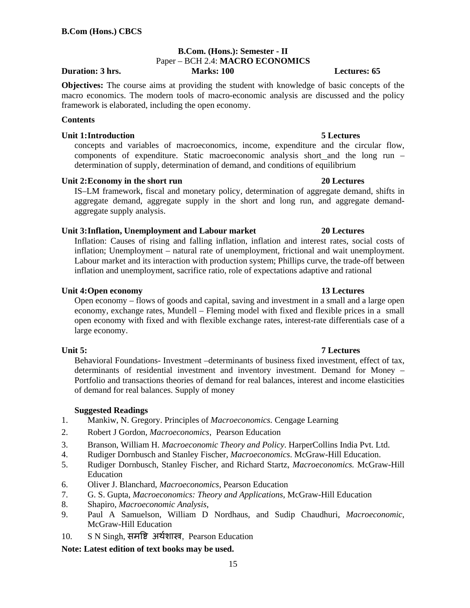### **B.Com. (Hons.): Semester - II**  Paper – BCH 2.4: **MACRO ECONOMICS Duration: 3 hrs. Marks: 100 Lectures: 65**

**Objectives:** The course aims at providing the student with knowledge of basic concepts of the macro economics. The modern tools of macro-economic analysis are discussed and the policy framework is elaborated, including the open economy.

### **Contents**

### **Unit 1: Introduction 5 Lectures**

concepts and variables of macroeconomics, income, expenditure and the circular flow, components of expenditure. Static macroeconomic analysis short and the long run – determination of supply, determination of demand, and conditions of equilibrium

### Unit 2: Economy in the short run 20 Lectures

IS–LM framework, fiscal and monetary policy, determination of aggregate demand, shifts in aggregate demand, aggregate supply in the short and long run, and aggregate demandaggregate supply analysis.

### **Unit 3: Inflation, Unemployment and Labour market 20 Lectures**

Inflation: Causes of rising and falling inflation, inflation and interest rates, social costs of inflation; Unemployment – natural rate of unemployment, frictional and wait unemployment. Labour market and its interaction with production system; Phillips curve, the trade-off between inflation and unemployment, sacrifice ratio, role of expectations adaptive and rational

### **Unit 4: Open economy 13 Lectures**

Open economy – flows of goods and capital, saving and investment in a small and a large open economy, exchange rates, Mundell – Fleming model with fixed and flexible prices in a small open economy with fixed and with flexible exchange rates, interest-rate differentials case of a large economy.

Behavioral Foundations- Investment –determinants of business fixed investment, effect of tax, determinants of residential investment and inventory investment. Demand for Money – Portfolio and transactions theories of demand for real balances, interest and income elasticities of demand for real balances. Supply of money

### **Suggested Readings**

- 1. Mankiw, N. Gregory. Principles of *Macroeconomics.* Cengage Learning
- 2. Robert J Gordon, *Macroeconomics*, Pearson Education
- 3. Branson, William H. *Macroeconomic Theory and Policy*. HarperCollins India Pvt. Ltd.
- 4. Rudiger Dornbusch and Stanley Fischer, *Macroeconomics*. McGraw-Hill Education.
- 5. Rudiger Dornbusch, Stanley Fischer, and Richard Startz, *Macroeconomics.* McGraw-Hill Education
- 6. Oliver J. Blanchard, *Macroeconomics,* Pearson Education
- 7. G. S. Gupta, *Macroeconomics: Theory and Applications*, McGraw-Hill Education
- 8. Shapiro, *Macroeconomic Analysis,*
- 9. Paul A Samuelson, William D Nordhaus, and Sudip Chaudhuri, *Macroeconomic,*  McGraw-Hill Education
- 10. S N Singh, समृष्टि अर्थशास्त्र, Pearson Education

### **Note: Latest edition of text books may be used.**

### **Unit 5: 7 Lectures**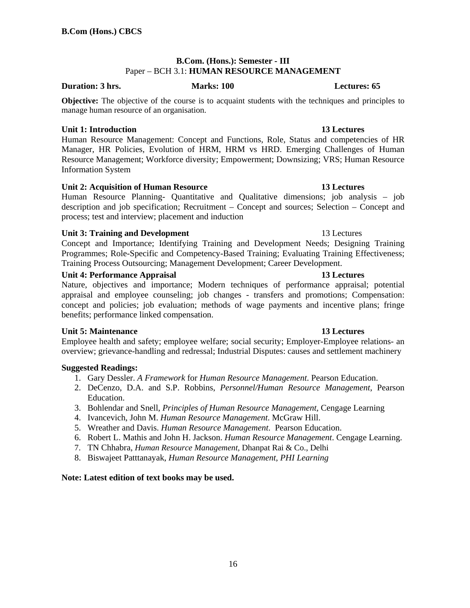### **B.Com. (Hons.): Semester - III**  Paper – BCH 3.1: **HUMAN RESOURCE MANAGEMENT**

### **Duration: 3 hrs.** Marks: 100 **Marks: 100** Lectures: 65

**Objective:** The objective of the course is to acquaint students with the techniques and principles to manage human resource of an organisation.

### **Unit 1: Introduction 13 Lectures**

Human Resource Management: Concept and Functions, Role, Status and competencies of HR Manager, HR Policies, Evolution of HRM, HRM vs HRD. Emerging Challenges of Human Resource Management; Workforce diversity; Empowerment; Downsizing; VRS; Human Resource Information System

# **Unit 2: Acquisition of Human Resource 13 Lectures**

Human Resource Planning- Quantitative and Qualitative dimensions; job analysis – job description and job specification; Recruitment – Concept and sources; Selection – Concept and process; test and interview; placement and induction

# **Unit 3: Training and Development** 13 Lectures

Concept and Importance; Identifying Training and Development Needs; Designing Training Programmes; Role-Specific and Competency-Based Training; Evaluating Training Effectiveness; Training Process Outsourcing; Management Development; Career Development.

# **Unit 4: Performance Appraisal 13 Lectures 13 Lectures**

Nature, objectives and importance; Modern techniques of performance appraisal; potential appraisal and employee counseling; job changes - transfers and promotions; Compensation: concept and policies; job evaluation; methods of wage payments and incentive plans; fringe benefits; performance linked compensation.

# **Unit 5: Maintenance 13 Lectures 13 Lectures**

Employee health and safety; employee welfare; social security; Employer-Employee relations- an overview; grievance-handling and redressal; Industrial Disputes: causes and settlement machinery

# **Suggested Readings:**

- 1. Gary Dessler. *A Framework* for *Human Resource Management*. Pearson Education.
- 2. DeCenzo, D.A. and S.P. Robbins, *Personnel/Human Resource Management*, Pearson Education.
- 3. Bohlendar and Snell, *Principles of Human Resource Management,* Cengage Learning
- 4. Ivancevich, John M. *Human Resource Management*. McGraw Hill.
- 5. Wreather and Davis. *Human Resource Management*. Pearson Education.
- 6. Robert L. Mathis and John H. Jackson. *Human Resource Management*. Cengage Learning.
- 7. TN Chhabra, *Human Resource Management,* Dhanpat Rai & Co., Delhi
- 8. Biswajeet Patttanayak, *Human Resource Management, PHI Learning*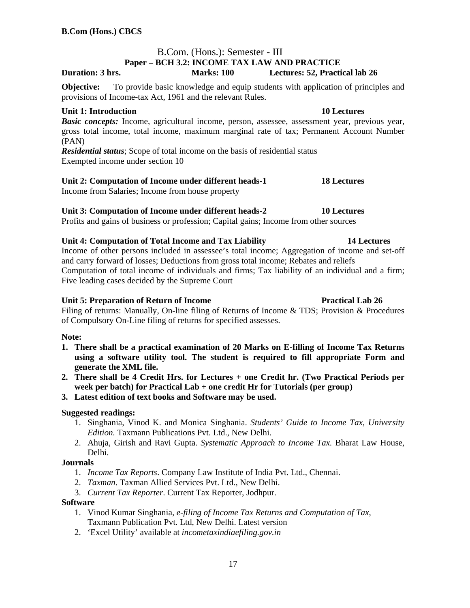### B.Com. (Hons.): Semester - III **Paper – BCH 3.2: INCOME TAX LAW AND PRACTICE Duration: 3 hrs. Marks: 100 Lectures: 52, Practical lab 26**

**Objective:** To provide basic knowledge and equip students with application of principles and provisions of Income-tax Act, 1961 and the relevant Rules.

# **Unit 1: Introduction 10 Lectures**

*Basic concepts:* Income, agricultural income, person, assessee, assessment year, previous year, gross total income, total income, maximum marginal rate of tax; Permanent Account Number (PAN)

*Residential status*; Scope of total income on the basis of residential status Exempted income under section 10

# Unit 2: Computation of Income under different heads-1 18 Lectures

Income from Salaries; Income from house property

# **Unit 3: Computation of Income under different heads-2 10 Lectures**

Profits and gains of business or profession; Capital gains; Income from other sources

# **Unit 4: Computation of Total Income and Tax Liability 14 Lectures**

Income of other persons included in assessee's total income; Aggregation of income and set-off and carry forward of losses; Deductions from gross total income; Rebates and reliefs Computation of total income of individuals and firms; Tax liability of an individual and a firm; Five leading cases decided by the Supreme Court

# **Unit 5: Preparation of Return of Income Practical Lab 26 Practical Lab 26**

Filing of returns: Manually, On-line filing of Returns of Income & TDS; Provision & Procedures of Compulsory On-Line filing of returns for specified assesses.

# **Note:**

- **1. There shall be a practical examination of 20 Marks on E-filling of Income Tax Returns using a software utility tool. The student is required to fill appropriate Form and generate the XML file.**
- **2. There shall be 4 Credit Hrs. for Lectures + one Credit hr. (Two Practical Periods per week per batch) for Practical Lab + one credit Hr for Tutorials (per group)**
- **3. Latest edition of text books and Software may be used.**

# **Suggested readings:**

- 1. Singhania, Vinod K. and Monica Singhania. *Students' Guide to Income Tax, University Edition.* Taxmann Publications Pvt. Ltd., New Delhi.
- 2. Ahuja, Girish and Ravi Gupta. *Systematic Approach to Income Tax.* Bharat Law House, Delhi.

# **Journals**

- 1. *Income Tax Reports*. Company Law Institute of India Pvt. Ltd., Chennai.
- 2. *Taxman*. Taxman Allied Services Pvt. Ltd., New Delhi.
- 3. *Current Tax Reporter*. Current Tax Reporter, Jodhpur.

### **Software**

- 1. Vinod Kumar Singhania, *e-filing of Income Tax Returns and Computation of Tax*, Taxmann Publication Pvt. Ltd, New Delhi. Latest version
- 2. 'Excel Utility' available at *incometaxindiaefiling.gov.in*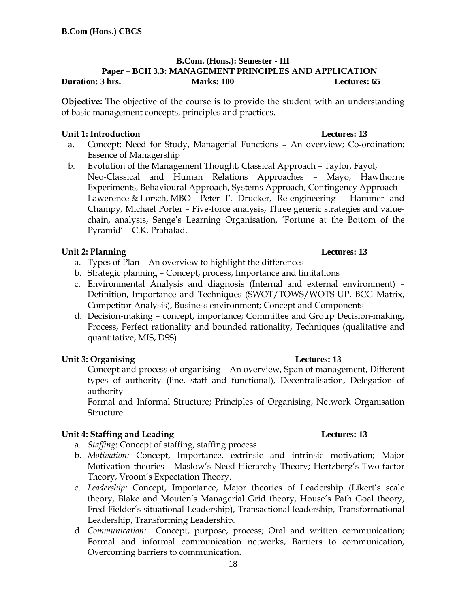### **B.Com. (Hons.): Semester - III Paper – BCH 3.3: MANAGEMENT PRINCIPLES AND APPLICATION Duration: 3 hrs.** Marks: 100 **Marks: 100 Lectures: 65**

**Objective:** The objective of the course is to provide the student with an understanding of basic management concepts, principles and practices.

# **Unit 1: Introduction Lectures: 13**

- a. Concept: Need for Study, Managerial Functions An overview; Co-ordination: Essence of Managership
- b. Evolution of the Management Thought, Classical Approach Taylor, Fayol, Neo-Classical and Human Relations Approaches – Mayo, Hawthorne Experiments, Behavioural Approach, Systems Approach, Contingency Approach – Lawerence & Lorsch, MBO- Peter F. Drucker, Re-engineering - Hammer and Champy, Michael Porter – Five-force analysis, Three generic strategies and valuechain, analysis, Senge's Learning Organisation, 'Fortune at the Bottom of the Pyramid' – C.K. Prahalad.

# **Unit 2: Planning Lectures: 13**

- a. Types of Plan An overview to highlight the differences
- b. Strategic planning Concept, process, Importance and limitations
- c. Environmental Analysis and diagnosis (Internal and external environment) Definition, Importance and Techniques (SWOT/TOWS/WOTS-UP, BCG Matrix, Competitor Analysis), Business environment; Concept and Components
- d. Decision-making concept, importance; Committee and Group Decision-making, Process, Perfect rationality and bounded rationality, Techniques (qualitative and quantitative, MIS, DSS)

# **Unit 3: Organising Lectures: 13**

Concept and process of organising – An overview, Span of management, Different types of authority (line, staff and functional), Decentralisation, Delegation of authority

Formal and Informal Structure; Principles of Organising; Network Organisation Structure

# **Unit 4: Staffing and Leading Lectures: 13 Lectures: 13**

- a. *Staffing*: Concept of staffing, staffing process
- b. *Motivation:* Concept, Importance, extrinsic and intrinsic motivation; Major Motivation theories - Maslow's Need-Hierarchy Theory; Hertzberg's Two-factor Theory, Vroom's Expectation Theory.
- c. *Leadership:* Concept, Importance, Major theories of Leadership (Likert's scale theory, Blake and Mouten's Managerial Grid theory, House's Path Goal theory, Fred Fielder's situational Leadership), Transactional leadership, Transformational Leadership, Transforming Leadership.
- d. *Communication:* Concept, purpose, process; Oral and written communication; Formal and informal communication networks, Barriers to communication, Overcoming barriers to communication.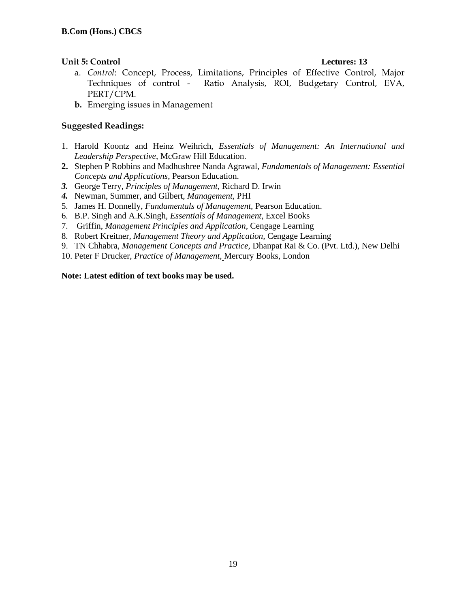# **Unit 5: Control Lectures: 13**

- a. *Control*: Concept, Process, Limitations, Principles of Effective Control, Major Techniques of control - Ratio Analysis, ROI, Budgetary Control, EVA, PERT/CPM.
- **b.** Emerging issues in Management

# **Suggested Readings:**

- 1. Harold Koontz and Heinz Weihrich, *Essentials of Management: An International and Leadership Perspective*, McGraw Hill Education.
- **2.** Stephen P Robbins and Madhushree Nanda Agrawal, *Fundamentals of Management: Essential Concepts and Applications*, Pearson Education.
- *3.* George Terry, *Principles of Management*, Richard D. Irwin
- *4.* Newman, Summer, and Gilbert, *Management,* PHI
- 5. James H. Donnelly, *Fundamentals of Management,* Pearson Education.
- 6. B.P. Singh and A.K.Singh, *Essentials of Management*, Excel Books
- 7. Griffin, *Management Principles and Application,* Cengage Learning
- 8. Robert Kreitner*, Management Theory and Application,* Cengage Learning
- 9. TN Chhabra, *Management Concepts and Practice*, Dhanpat Rai & Co. (Pvt. Ltd.), New Delhi
- 10. Peter F Drucker, *Practice of Management,* Mercury Books, London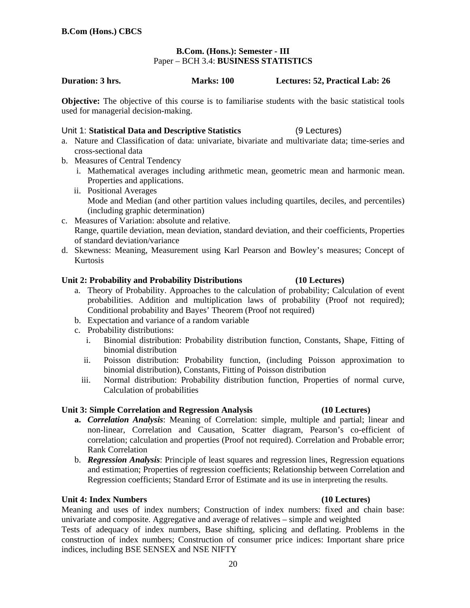### **B.Com. (Hons.): Semester - III**  Paper – BCH 3.4: **BUSINESS STATISTICS**

### **Duration: 3 hrs. Marks: 100 Lectures: 52, Practical Lab: 26**

**Objective:** The objective of this course is to familiarise students with the basic statistical tools used for managerial decision-making.

### Unit 1: **Statistical Data and Descriptive Statistics** (9 Lectures)

- a. Nature and Classification of data: univariate, bivariate and multivariate data; time-series and cross-sectional data
- b. Measures of Central Tendency
	- i. Mathematical averages including arithmetic mean, geometric mean and harmonic mean. Properties and applications.
	- ii. Positional Averages Mode and Median (and other partition values including quartiles, deciles, and percentiles) (including graphic determination)
- c. Measures of Variation: absolute and relative. Range, quartile deviation, mean deviation, standard deviation, and their coefficients, Properties of standard deviation/variance
- d. Skewness: Meaning, Measurement using Karl Pearson and Bowley's measures; Concept of Kurtosis

### **Unit 2: Probability and Probability Distributions (10 Lectures)**

- a. Theory of Probability. Approaches to the calculation of probability; Calculation of event probabilities. Addition and multiplication laws of probability (Proof not required); Conditional probability and Bayes' Theorem (Proof not required)
- b. Expectation and variance of a random variable
- c. Probability distributions:
	- i. Binomial distribution: Probability distribution function, Constants, Shape, Fitting of binomial distribution
	- ii. Poisson distribution: Probability function, (including Poisson approximation to binomial distribution), Constants, Fitting of Poisson distribution
	- iii. Normal distribution: Probability distribution function, Properties of normal curve, Calculation of probabilities

### **Unit 3: Simple Correlation and Regression Analysis (10 Lectures)**

- **a.** *Correlation Analysis*: Meaning of Correlation: simple, multiple and partial; linear and non-linear, Correlation and Causation, Scatter diagram, Pearson's co-efficient of correlation; calculation and properties (Proof not required). Correlation and Probable error; Rank Correlation
- b. *Regression Analysis*: Principle of least squares and regression lines, Regression equations and estimation; Properties of regression coefficients; Relationship between Correlation and Regression coefficients; Standard Error of Estimate and its use in interpreting the results.

### **Unit 4: Index Numbers (10 Lectures)**

Meaning and uses of index numbers; Construction of index numbers: fixed and chain base: univariate and composite. Aggregative and average of relatives – simple and weighted

Tests of adequacy of index numbers, Base shifting, splicing and deflating. Problems in the construction of index numbers; Construction of consumer price indices: Important share price indices, including BSE SENSEX and NSE NIFTY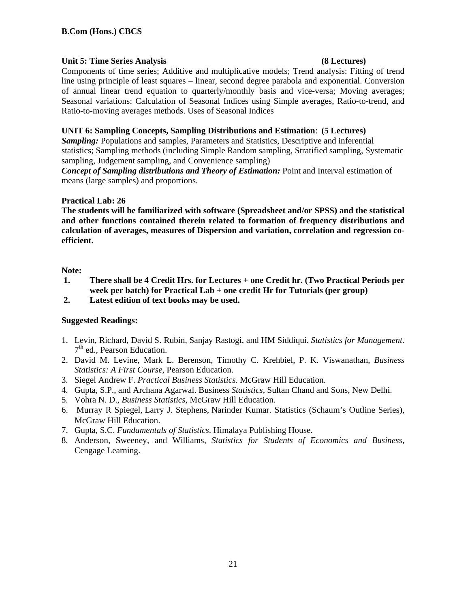# Unit 5: Time Series Analysis **and Series Analysis (8 Lectures)**

Components of time series; Additive and multiplicative models; Trend analysis: Fitting of trend line using principle of least squares – linear, second degree parabola and exponential. Conversion of annual linear trend equation to quarterly/monthly basis and vice-versa; Moving averages; Seasonal variations: Calculation of Seasonal Indices using Simple averages, Ratio-to-trend, and Ratio-to-moving averages methods. Uses of Seasonal Indices

# **UNIT 6: Sampling Concepts, Sampling Distributions and Estimation**: **(5 Lectures)**

*Sampling:* Populations and samples, Parameters and Statistics, Descriptive and inferential statistics; Sampling methods (including Simple Random sampling, Stratified sampling, Systematic sampling, Judgement sampling, and Convenience sampling)

*Concept of Sampling distributions and Theory of Estimation:* Point and Interval estimation of means (large samples) and proportions.

# **Practical Lab: 26**

**The students will be familiarized with software (Spreadsheet and/or SPSS) and the statistical and other functions contained therein related to formation of frequency distributions and calculation of averages, measures of Dispersion and variation, correlation and regression coefficient.** 

# **Note:**

- **1. There shall be 4 Credit Hrs. for Lectures + one Credit hr. (Two Practical Periods per week per batch) for Practical Lab + one credit Hr for Tutorials (per group)**
- **2. Latest edition of text books may be used.**

# **Suggested Readings:**

- 1. Levin, Richard, David S. Rubin, Sanjay Rastogi, and HM Siddiqui. *Statistics for Management*. 7<sup>th</sup> ed., Pearson Education.
- 2. David M. Levine, Mark L. Berenson, Timothy C. Krehbiel, P. K. Viswanathan, *Business Statistics: A First Course*, Pearson Education.
- 3. Siegel Andrew F. *Practical Business Statistics*. McGraw Hill Education.
- 4. Gupta, S.P., and Archana Agarwal. Business *Statistics,* Sultan Chand and Sons, New Delhi.
- 5. Vohra N. D., *Business Statistics*, McGraw Hill Education.
- 6. Murray R Spiegel, Larry J. Stephens, Narinder Kumar. Statistics (Schaum's Outline Series), McGraw Hill Education.
- 7. Gupta, S.C. *Fundamentals of Statistics*. Himalaya Publishing House.
- 8. Anderson, Sweeney, and Williams, *Statistics for Students of Economics and Business*, Cengage Learning.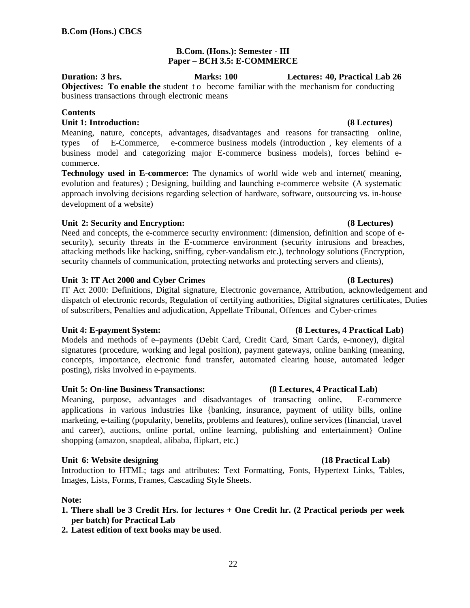# **B.Com. (Hons.): Semester - III Paper – BCH 3.5: E-COMMERCE**

**Duration: 3 hrs. Marks: 100 Lectures: 40, Practical Lab 26 Objectives:** To enable the student to become familiar with the mechanism for conducting business transactions through electronic means

# **Contents**

# **Unit 1: Introduction: (8 Lectures)**

Meaning, nature, concepts, advantages, disadvantages and reasons for transacting online, types of E-Commerce, e-commerce business models (introduction , key elements of a business model and categorizing major E-commerce business models), forces behind ecommerce.

**Technology used in E-commerce:** The dynamics of world wide web and internet( meaning, evolution and features) ; Designing, building and launching e-commerce website (A systematic approach involving decisions regarding selection of hardware, software, outsourcing vs. in-house development of a website)

# **Unit 2: Security and Encryption: (8 Lectures)**

Need and concepts, the e-commerce security environment: (dimension, definition and scope of esecurity), security threats in the E-commerce environment (security intrusions and breaches, attacking methods like hacking, sniffing, cyber-vandalism etc.), technology solutions (Encryption, security channels of communication, protecting networks and protecting servers and clients),

# **Unit 3: IT Act 2000 and Cyber Crimes (8 Lectures)**

IT Act 2000: Definitions, Digital signature, Electronic governance, Attribution, acknowledgement and dispatch of electronic records, Regulation of certifying authorities, Digital signatures certificates, Duties of subscribers, Penalties and adjudication, Appellate Tribunal, Offences and Cyber-crimes

### **Unit 4: E-payment System: (8 Lectures, 4 Practical Lab)**

Models and methods of e–payments (Debit Card, Credit Card, Smart Cards, e-money), digital signatures (procedure, working and legal position), payment gateways, online banking (meaning, concepts, importance, electronic fund transfer, automated clearing house, automated ledger posting), risks involved in e-payments.

### **Unit 5: On-line Business Transactions: (8 Lectures, 4 Practical Lab)**

Meaning, purpose, advantages and disadvantages of transacting online, E-commerce applications in various industries like {banking, insurance, payment of utility bills, online marketing, e-tailing (popularity, benefits, problems and features), online services (financial, travel and career), auctions, online portal, online learning, publishing and entertainment} Online shopping (amazon, snapdeal, alibaba, flipkart, etc.)

# Unit 6: Website designing **(18 Practical Lab)**

Introduction to HTML; tags and attributes: Text Formatting, Fonts, Hypertext Links, Tables, Images, Lists, Forms, Frames, Cascading Style Sheets.

# **Note:**

- **1. There shall be 3 Credit Hrs. for lectures + One Credit hr. (2 Practical periods per week per batch) for Practical Lab**
- **2. Latest edition of text books may be used**.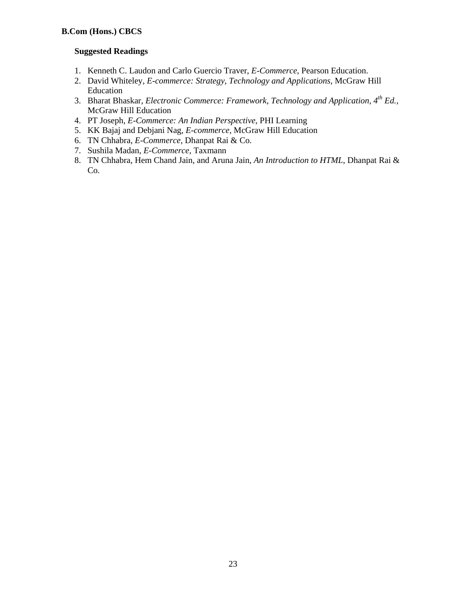# **Suggested Readings**

- 1. Kenneth C. Laudon and Carlo Guercio Traver, *E-Commerce*, Pearson Education.
- 2. David Whiteley, *E-commerce: Strategy, Technology and Applications*, McGraw Hill Education
- 3. Bharat Bhaskar, *Electronic Commerce: Framework, Technology and Application, 4th Ed.,*  McGraw Hill Education
- 4. PT Joseph, *E-Commerce: An Indian Perspective*, PHI Learning
- 5. KK Bajaj and Debjani Nag, *E-commerce,* McGraw Hill Education
- 6. TN Chhabra, *E-Commerce,* Dhanpat Rai & Co.
- 7. Sushila Madan, *E-Commerce,* Taxmann
- 8. TN Chhabra, Hem Chand Jain, and Aruna Jain, *An Introduction to HTML*, Dhanpat Rai & Co.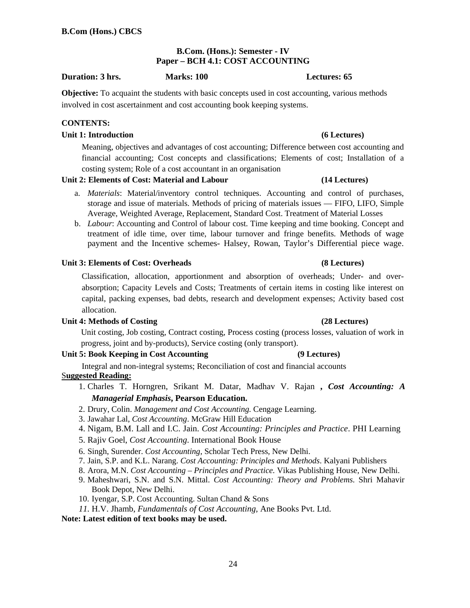# **B.Com. (Hons.): Semester - IV Paper – BCH 4.1: COST ACCOUNTING**

### **Duration: 3 hrs. Marks: 100 Lectures: 65**

**Objective:** To acquaint the students with basic concepts used in cost accounting, various methods involved in cost ascertainment and cost accounting book keeping systems.

### **CONTENTS:**

### **Unit 1: Introduction (6 Lectures)**

Meaning, objectives and advantages of cost accounting; Difference between cost accounting and financial accounting; Cost concepts and classifications; Elements of cost; Installation of a costing system; Role of a cost accountant in an organisation

# **Unit 2: Elements of Cost: Material and Labour (14 Lectures)**

- a. *Materials*: Material/inventory control techniques. Accounting and control of purchases, storage and issue of materials. Methods of pricing of materials issues — FIFO, LIFO, Simple Average, Weighted Average, Replacement, Standard Cost. Treatment of Material Losses
- b. *Labour*: Accounting and Control of labour cost. Time keeping and time booking. Concept and treatment of idle time, over time, labour turnover and fringe benefits. Methods of wage payment and the Incentive schemes- Halsey, Rowan, Taylor's Differential piece wage.

# **Unit 3: Elements of Cost: Overheads (8 Lectures)**

Classification, allocation, apportionment and absorption of overheads; Under- and overabsorption; Capacity Levels and Costs; Treatments of certain items in costing like interest on capital, packing expenses, bad debts, research and development expenses; Activity based cost allocation.

### **Unit 4: Methods of Costing (28 Lectures)**

Unit costing, Job costing, Contract costing, Process costing (process losses, valuation of work in progress, joint and by-products), Service costing (only transport).

# **Unit 5: Book Keeping in Cost Accounting (9 Lectures)**

Integral and non-integral systems; Reconciliation of cost and financial accounts S**uggested Reading:**

- 1. Charles T. Horngren, Srikant M. Datar, Madhav V. Rajan **,** *Cost Accounting: A Managerial Emphasis***, Pearson Education.**
- 2. Drury, Colin. *Management and Cost Accounting.* Cengage Learning.
- 3. Jawahar Lal, *Cost Accounting*. McGraw Hill Education
- 4. Nigam, B.M. Lall and I.C. Jain. *Cost Accounting: Principles and Practice*. PHI Learning
- 5. Rajiv Goel, *Cost Accounting*. International Book House
- 6. Singh, Surender. *Cost Accounting,* Scholar Tech Press*,* New Delhi.
- 7. Jain, S.P. and K.L. Narang. *Cost Accounting: Principles and Methods*. Kalyani Publishers
- 8. Arora, M.N. *Cost Accounting Principles and Practice.* Vikas Publishing House, New Delhi.
- 9. Maheshwari, S.N. and S.N. Mittal. *Cost Accounting: Theory and Problems*. Shri Mahavir Book Depot, New Delhi.
- 10. Iyengar, S.P. Cost Accounting. Sultan Chand & Sons
- *11.* H.V. Jhamb, *Fundamentals of Cost Accounting,* Ane Books Pvt. Ltd.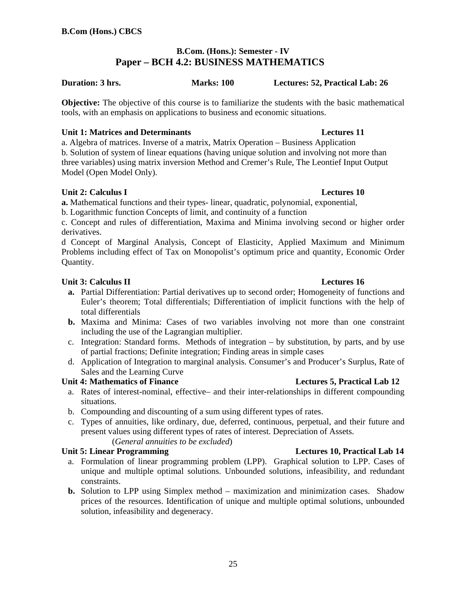# **B.Com. (Hons.): Semester - IV Paper – BCH 4.2: BUSINESS MATHEMATICS**

# **Duration: 3 hrs. Marks: 100 Lectures: 52, Practical Lab: 26**

**Objective:** The objective of this course is to familiarize the students with the basic mathematical tools, with an emphasis on applications to business and economic situations.

# **Unit 1: Matrices and Determinants Lectures 11**

a. Algebra of matrices. Inverse of a matrix, Matrix Operation – Business Application b. Solution of system of linear equations (having unique solution and involving not more than three variables) using matrix inversion Method and Cremer's Rule, The Leontief Input Output Model (Open Model Only).

# **Unit 2: Calculus I Lectures 10**

**a.** Mathematical functions and their types- linear, quadratic, polynomial, exponential,

b. Logarithmic function Concepts of limit, and continuity of a function

c. Concept and rules of differentiation, Maxima and Minima involving second or higher order derivatives.

d Concept of Marginal Analysis, Concept of Elasticity, Applied Maximum and Minimum Problems including effect of Tax on Monopolist's optimum price and quantity, Economic Order Quantity.

# **Unit 3: Calculus II Lectures 16**

- **a.** Partial Differentiation: Partial derivatives up to second order; Homogeneity of functions and Euler's theorem; Total differentials; Differentiation of implicit functions with the help of total differentials
- **b.** Maxima and Minima: Cases of two variables involving not more than one constraint including the use of the Lagrangian multiplier.
- c. Integration: Standard forms. Methods of integration by substitution, by parts, and by use of partial fractions; Definite integration; Finding areas in simple cases
- d. Application of Integration to marginal analysis. Consumer's and Producer's Surplus, Rate of Sales and the Learning Curve

### **Unit 4: Mathematics of Finance Lectures 5, Practical Lab 12**

- a. Rates of interest-nominal, effective– and their inter-relationships in different compounding situations.
- b. Compounding and discounting of a sum using different types of rates.
- c. Types of annuities, like ordinary, due, deferred, continuous, perpetual, and their future and present values using different types of rates of interest. Depreciation of Assets.

# (*General annuities to be excluded*)

### **Unit 5: Linear Programming Lectures 10, Practical Lab 14**

- a. Formulation of linear programming problem (LPP). Graphical solution to LPP. Cases of unique and multiple optimal solutions. Unbounded solutions, infeasibility, and redundant constraints.
- **b.** Solution to LPP using Simplex method maximization and minimization cases. Shadow prices of the resources. Identification of unique and multiple optimal solutions, unbounded solution, infeasibility and degeneracy.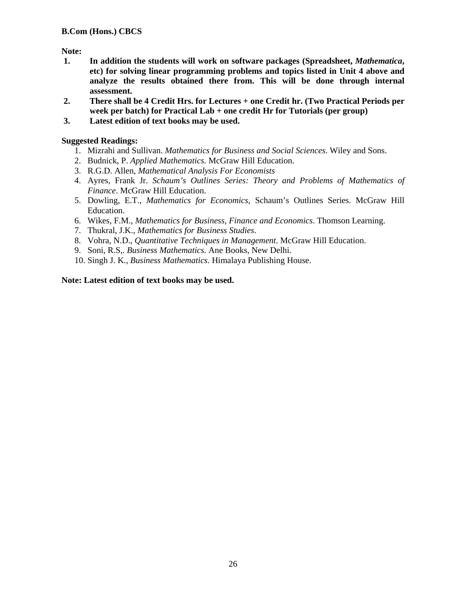# **Note:**

- **1. In addition the students will work on software packages (Spreadsheet,** *Mathematica***, etc) for solving linear programming problems and topics listed in Unit 4 above and analyze the results obtained there from. This will be done through internal assessment.**
- **2. There shall be 4 Credit Hrs. for Lectures + one Credit hr. (Two Practical Periods per week per batch) for Practical Lab + one credit Hr for Tutorials (per group)**
- **3. Latest edition of text books may be used.**

# **Suggested Readings:**

- 1. Mizrahi and Sullivan. *Mathematics for Business and Social Sciences*. Wiley and Sons.
- 2. Budnick, P. *Applied Mathematics.* McGraw Hill Education.
- 3. R.G.D. Allen, *Mathematical Analysis For Economists*
- 4. Ayres, Frank Jr. *Schaum's Outlines Series: Theory and Problems of Mathematics of Finance*. McGraw Hill Education.
- 5. Dowling, E.T., *Mathematics for Economics*, Schaum's Outlines Series. McGraw Hill Education.
- 6. Wikes, F.M., *Mathematics for Business, Finance and Economics*. Thomson Learning.
- 7. Thukral, J.K., *Mathematics for Business Studies*.
- 8. Vohra, N.D., *Quantitative Techniques in Management*. McGraw Hill Education.
- 9. Soni, R.S,*. Business Mathematics*. Ane Books, New Delhi.
- 10. Singh J. K., *Business Mathematics*. Himalaya Publishing House.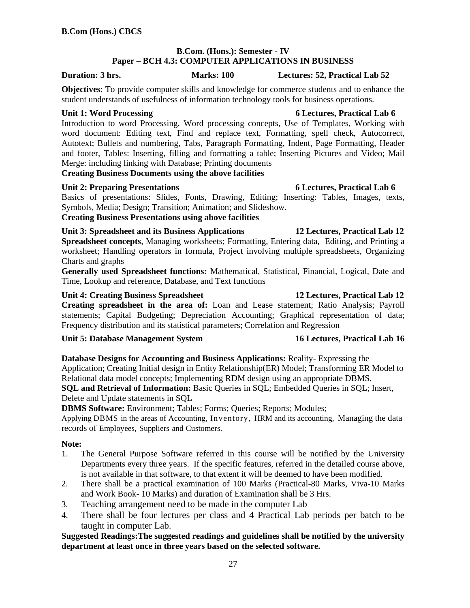# **B.Com. (Hons.): Semester - IV Paper – BCH 4.3: COMPUTER APPLICATIONS IN BUSINESS**

**Duration: 3 hrs. Marks: 100 Lectures: 52, Practical Lab 52** 

**Objectives**: To provide computer skills and knowledge for commerce students and to enhance the student understands of usefulness of information technology tools for business operations.

Introduction to word Processing, Word processing concepts, Use of Templates, Working with word document: Editing text, Find and replace text, Formatting, spell check, Autocorrect, Autotext; Bullets and numbering, Tabs, Paragraph Formatting, Indent, Page Formatting, Header and footer, Tables: Inserting, filling and formatting a table; Inserting Pictures and Video; Mail Merge: including linking with Database; Printing documents

**Creating Business Documents using the above facilities** 

# **Unit 2: Preparing Presentations 6 Lectures, Practical Lab 6**

Basics of presentations: Slides, Fonts, Drawing, Editing; Inserting: Tables, Images, texts, Symbols, Media; Design; Transition; Animation; and Slideshow.

**Creating Business Presentations using above facilities** 

# **Unit 3: Spreadsheet and its Business Applications 12 Lectures, Practical Lab 12**

**Spreadsheet concepts**, Managing worksheets; Formatting, Entering data, Editing, and Printing a worksheet; Handling operators in formula, Project involving multiple spreadsheets, Organizing Charts and graphs

**Generally used Spreadsheet functions:** Mathematical, Statistical, Financial, Logical, Date and Time, Lookup and reference, Database, and Text functions

# **Unit 4: Creating Business Spreadsheet 12 Lectures, Practical Lab 12**

# **Creating spreadsheet in the area of:** Loan and Lease statement; Ratio Analysis; Payroll statements; Capital Budgeting; Depreciation Accounting; Graphical representation of data; Frequency distribution and its statistical parameters; Correlation and Regression

# **Unit 5: Database Management System 16 Lectures, Practical Lab 16**

# **Database Designs for Accounting and Business Applications:** Reality- Expressing the

Application; Creating Initial design in Entity Relationship(ER) Model; Transforming ER Model to Relational data model concepts; Implementing RDM design using an appropriate DBMS.

**SQL and Retrieval of Information:** Basic Queries in SQL; Embedded Queries in SQL; Insert, Delete and Update statements in SQL

**DBMS Software:** Environment; Tables; Forms; Queries; Reports; Modules;

Applying DBMS in the areas of Accounting, Inventory, HRM and its accounting, Managing the data records of Employees, Suppliers and Customers.

# **Note:**

- 1. The General Purpose Software referred in this course will be notified by the University Departments every three years. If the specific features, referred in the detailed course above, is not available in that software, to that extent it will be deemed to have been modified.
- 2. There shall be a practical examination of 100 Marks (Practical-80 Marks, Viva-10 Marks and Work Book- 10 Marks) and duration of Examination shall be 3 Hrs.
- 3. Teaching arrangement need to be made in the computer Lab
- 4. There shall be four lectures per class and 4 Practical Lab periods per batch to be taught in computer Lab.

# **Suggested Readings:The suggested readings and guidelines shall be notified by the university department at least once in three years based on the selected software.**

# **Unit 1: Word Processing 6 Lectures, Practical Lab 6**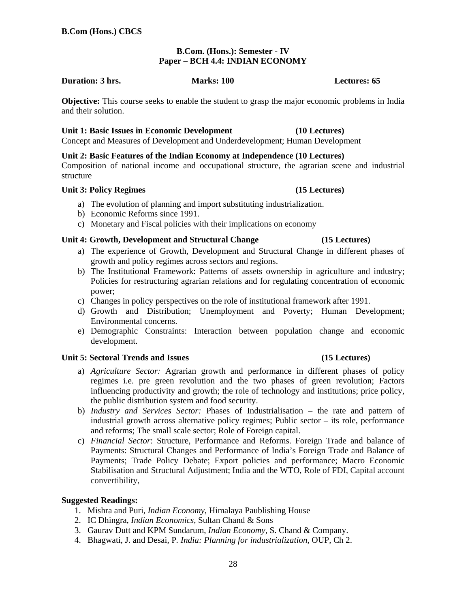28

# **B.Com. (Hons.): Semester - IV Paper – BCH 4.4: INDIAN ECONOMY**

# **Duration: 3 hrs.** Marks: 100 **Marks: 100 Lectures: 65**

**Objective:** This course seeks to enable the student to grasp the major economic problems in India and their solution.

# **Unit 1: Basic Issues in Economic Development (10 Lectures)**

Concept and Measures of Development and Underdevelopment; Human Development

# **Unit 2: Basic Features of the Indian Economy at Independence (10 Lectures)**

Composition of national income and occupational structure, the agrarian scene and industrial structure

# Unit 3: Policy Regimes (15 Lectures)

- a) The evolution of planning and import substituting industrialization.
- b) Economic Reforms since 1991.
- c) Monetary and Fiscal policies with their implications on economy

# **Unit 4: Growth, Development and Structural Change (15 Lectures)**

- a) The experience of Growth, Development and Structural Change in different phases of growth and policy regimes across sectors and regions.
- b) The Institutional Framework: Patterns of assets ownership in agriculture and industry; Policies for restructuring agrarian relations and for regulating concentration of economic power;
- c) Changes in policy perspectives on the role of institutional framework after 1991.
- d) Growth and Distribution; Unemployment and Poverty; Human Development; Environmental concerns.
- e) Demographic Constraints: Interaction between population change and economic development.

# Unit 5: Sectoral Trends and Issues **(15 Lectures)**

- a) *Agriculture Sector:* Agrarian growth and performance in different phases of policy regimes i.e. pre green revolution and the two phases of green revolution; Factors influencing productivity and growth; the role of technology and institutions; price policy, the public distribution system and food security.
- b) *Industry and Services Sector:* Phases of Industrialisation the rate and pattern of industrial growth across alternative policy regimes; Public sector – its role, performance and reforms; The small scale sector; Role of Foreign capital.
- c) *Financial Sector*: Structure, Performance and Reforms. Foreign Trade and balance of Payments: Structural Changes and Performance of India's Foreign Trade and Balance of Payments; Trade Policy Debate; Export policies and performance; Macro Economic Stabilisation and Structural Adjustment; India and the WTO, Role of FDI, Capital account convertibility,

# **Suggested Readings:**

- 1. Mishra and Puri, *Indian Economy*, Himalaya Paublishing House
- 2. IC Dhingra, *Indian Economics*, Sultan Chand & Sons
- 3. Gaurav Dutt and KPM Sundarum, *Indian Economy*, S. Chand & Company.
- 4. Bhagwati, J. and Desai, P*. India: Planning for industrialization*, OUP, Ch 2.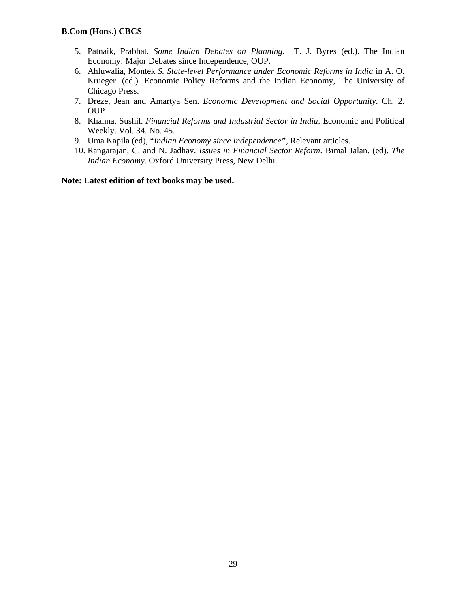- 5. Patnaik, Prabhat. *Some Indian Debates on Planning*. T. J. Byres (ed.). The Indian Economy: Major Debates since Independence, OUP.
- 6. Ahluwalia, Montek *S. State-level Performance under Economic Reforms in India* in A. O. Krueger. (ed.). Economic Policy Reforms and the Indian Economy, The University of Chicago Press.
- 7. Dreze, Jean and Amartya Sen. *Economic Development and Social Opportunity*. Ch. 2. OUP.
- 8. Khanna, Sushil. *Financial Reforms and Industrial Sector in India*. Economic and Political Weekly. Vol. 34. No. 45.
- 9. Uma Kapila (ed), "*Indian Economy since Independence",* Relevant articles.
- 10. Rangarajan, C. and N. Jadhav. *Issues in Financial Sector Reform*. Bimal Jalan. (ed). *The Indian Economy*. Oxford University Press, New Delhi.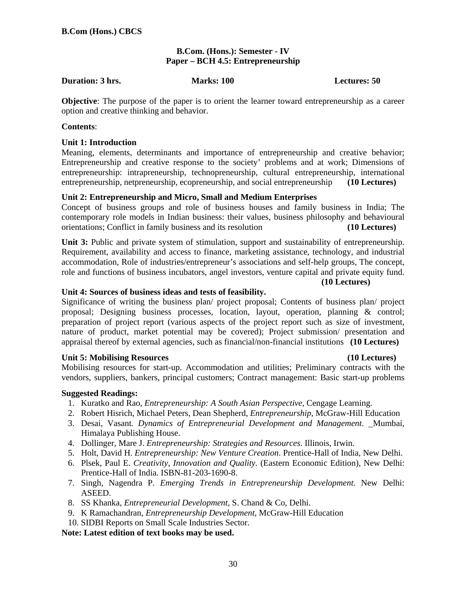# **B.Com. (Hons.): Semester - IV Paper – BCH 4.5: Entrepreneurship**

### **Duration: 3 hrs.** Marks: 100 **Marks: 100 Lectures: 50**

**Objective**: The purpose of the paper is to orient the learner toward entrepreneurship as a career option and creative thinking and behavior.

### **Contents**:

# **Unit 1: Introduction**

Meaning, elements, determinants and importance of entrepreneurship and creative behavior; Entrepreneurship and creative response to the society' problems and at work; Dimensions of entrepreneurship: intrapreneurship, technopreneurship, cultural entrepreneurship, international entrepreneurship, netpreneurship, ecopreneurship, and social entrepreneurship **(10 Lectures)** 

# **Unit 2: Entrepreneurship and Micro, Small and Medium Enterprises**

Concept of business groups and role of business houses and family business in India; The contemporary role models in Indian business: their values, business philosophy and behavioural orientations; Conflict in family business and its resolution **(10 Lectures)** 

**Unit 3:** Public and private system of stimulation, support and sustainability of entrepreneurship. Requirement, availability and access to finance, marketing assistance, technology, and industrial accommodation, Role of industries/entrepreneur's associations and self-help groups, The concept, role and functions of business incubators, angel investors, venture capital and private equity fund.

**(10 Lectures)** 

### **Unit 4: Sources of business ideas and tests of feasibility.**

Significance of writing the business plan/ project proposal; Contents of business plan/ project proposal; Designing business processes, location, layout, operation, planning & control; preparation of project report (various aspects of the project report such as size of investment, nature of product, market potential may be covered); Project submission/ presentation and appraisal thereof by external agencies, such as financial/non-financial institutions **(10 Lectures)** 

# **Unit 5: Mobilising Resources (10 Lectures)**

Mobilising resources for start-up. Accommodation and utilities; Preliminary contracts with the vendors, suppliers, bankers, principal customers; Contract management: Basic start-up problems

# **Suggested Readings:**

- 1. Kuratko and Rao, *Entrepreneurship: A South Asian Perspective,* Cengage Learning.
- 2. Robert Hisrich, Michael Peters, Dean Shepherd, *Entrepreneurship,* McGraw-Hill Education
- 3. Desai, Vasant*. Dynamics of Entrepreneurial Development and Management*. Mumbai, Himalaya Publishing House.
- 4. Dollinger, Mare J. *Entrepreneurship: Strategies and Resources*. Illinois, Irwin.
- 5. Holt, David H. *Entrepreneurship: New Venture Creation*. Prentice-Hall of India, New Delhi.
- 6. Plsek, Paul E. *Creativity, Innovation and Quality*. (Eastern Economic Edition), New Delhi: Prentice-Hall of India. ISBN-81-203-1690-8.
- 7. Singh, Nagendra P. *Emerging Trends in Entrepreneurship Development*. New Delhi: ASEED.
- 8. SS Khanka, *Entrepreneurial Development,* S. Chand & Co, Delhi.
- 9. K Ramachandran, *Entrepreneurship Development,* McGraw-Hill Education
- 10. SIDBI Reports on Small Scale Industries Sector.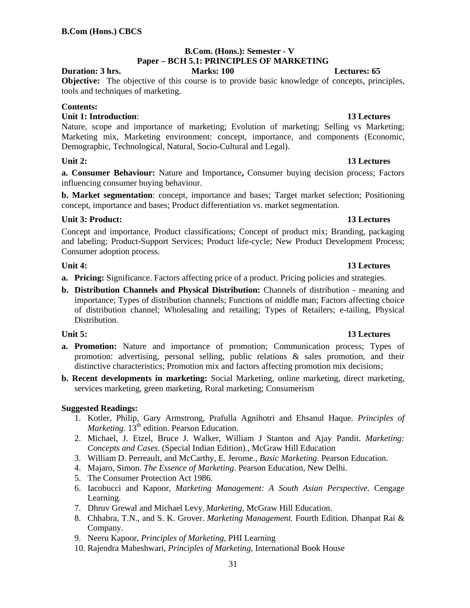### **B.Com. (Hons.): Semester - V Paper – BCH 5.1: PRINCIPLES OF MARKETING Duration: 3 hrs. Marks: 100 Lectures: 65**

**Objective:** The objective of this course is to provide basic knowledge of concepts, principles, tools and techniques of marketing.

# **Contents:**

# **Unit 1: Introduction**: **13 Lectures**

Nature, scope and importance of marketing; Evolution of marketing; Selling vs Marketing; Marketing mix, Marketing environment: concept, importance, and components (Economic, Demographic, Technological, Natural, Socio-Cultural and Legal).

**a. Consumer Behaviour:** Nature and Importance**,** Consumer buying decision process; Factors influencing consumer buying behaviour.

**b. Market segmentation**: concept, importance and bases; Target market selection; Positioning concept, importance and bases; Product differentiation vs. market segmentation.

# **Unit 3: Product:** 13 Lectures **13 Lectures**

Concept and importance, Product classifications; Concept of product mix; Branding, packaging and labeling; Product-Support Services; Product life-cycle; New Product Development Process; Consumer adoption process.

- **a. Pricing:** Significance. Factors affecting price of a product. Pricing policies and strategies.
- **b. Distribution Channels and Physical Distribution:** Channels of distribution meaning and importance; Types of distribution channels; Functions of middle man; Factors affecting choice of distribution channel; Wholesaling and retailing; Types of Retailers; e-tailing, Physical Distribution.

- **a. Promotion:** Nature and importance of promotion; Communication process; Types of promotion: advertising, personal selling, public relations & sales promotion, and their distinctive characteristics; Promotion mix and factors affecting promotion mix decisions;
- **b. Recent developments in marketing:** Social Marketing, online marketing, direct marketing, services marketing, green marketing, Rural marketing; Consumerism

# **Suggested Readings:**

- 1. Kotler, Philip, Gary Armstrong, Prafulla Agnihotri and Ehsanul Haque. *Principles of Marketing*. 13<sup>th</sup> edition. Pearson Education.
- 2. Michael, J. Etzel, Bruce J. Walker, William J Stanton and Ajay Pandit. *Marketing: Concepts and Cases.* (Special Indian Edition)., McGraw Hill Education
- 3. William D. Perreault, and McCarthy, E. Jerome., *Basic Marketing*. Pearson Education.
- 4. Majaro, Simon. *The Essence of Marketing*. Pearson Education, New Delhi.
- 5. The Consumer Protection Act 1986.
- 6. Iacobucci and Kapoor, *Marketing Management: A South Asian Perspective*. Cengage Learning.
- 7. Dhruv Grewal and Michael Levy, *Marketing,* McGraw Hill Education.
- 8. Chhabra, T.N., and S. K. Grover. *Marketing Management.* Fourth Edition. Dhanpat Rai & Company.
- 9. Neeru Kapoor, *Principles of Marketing*, PHI Learning
- 10. Rajendra Maheshwari, *Principles of Marketing*, International Book House

# **Unit 4:** 13 Lectures

### Unit 5: 13 Lectures **13 Lectures**

# **Unit 2:** 13 Lectures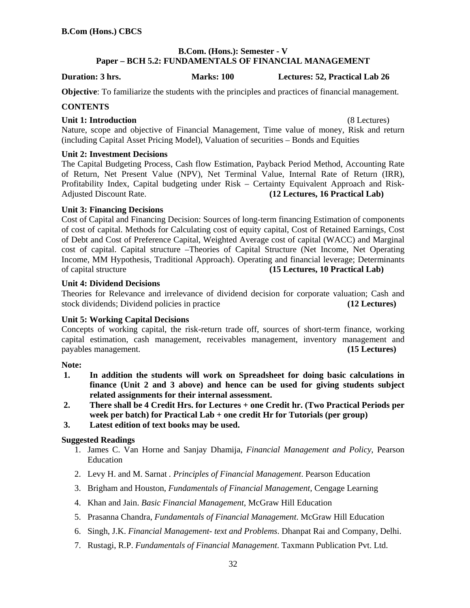# **B.Com. (Hons.): Semester - V Paper – BCH 5.2: FUNDAMENTALS OF FINANCIAL MANAGEMENT**

**Duration: 3 hrs. Marks: 100 Lectures: 52, Practical Lab 26** 

**Objective**: To familiarize the students with the principles and practices of financial management.

# **CONTENTS**

### **Unit 1: Introduction** (8 Lectures)

Nature, scope and objective of Financial Management, Time value of money, Risk and return (including Capital Asset Pricing Model), Valuation of securities – Bonds and Equities

# **Unit 2: Investment Decisions**

The Capital Budgeting Process, Cash flow Estimation, Payback Period Method, Accounting Rate of Return, Net Present Value (NPV), Net Terminal Value, Internal Rate of Return (IRR), Profitability Index, Capital budgeting under Risk – Certainty Equivalent Approach and Risk-Adjusted Discount Rate. **(12 Lectures, 16 Practical Lab)**

# **Unit 3: Financing Decisions**

Cost of Capital and Financing Decision: Sources of long-term financing Estimation of components of cost of capital. Methods for Calculating cost of equity capital, Cost of Retained Earnings, Cost of Debt and Cost of Preference Capital, Weighted Average cost of capital (WACC) and Marginal cost of capital. Capital structure –Theories of Capital Structure (Net Income, Net Operating Income, MM Hypothesis, Traditional Approach). Operating and financial leverage; Determinants of capital structure **(15 Lectures, 10 Practical Lab)**

# **Unit 4: Dividend Decisions**

Theories for Relevance and irrelevance of dividend decision for corporate valuation; Cash and stock dividends; Dividend policies in practice **(12 Lectures)**

# **Unit 5: Working Capital Decisions**

Concepts of working capital, the risk-return trade off, sources of short-term finance, working capital estimation, cash management, receivables management, inventory management and payables management. **(15 Lectures)**

# **Note:**

- **1. In addition the students will work on Spreadsheet for doing basic calculations in finance (Unit 2 and 3 above) and hence can be used for giving students subject related assignments for their internal assessment.**
- **2. There shall be 4 Credit Hrs. for Lectures + one Credit hr. (Two Practical Periods per week per batch) for Practical Lab + one credit Hr for Tutorials (per group)**
- **3. Latest edition of text books may be used.**

### **Suggested Readings**

- 1. James C. Van Horne and Sanjay Dhamija, *Financial Management and Policy*, Pearson Education
- 2. Levy H. and M. Sarnat *. Principles of Financial Management*. Pearson Education
- 3. Brigham and Houston, *Fundamentals of Financial Management,* Cengage Learning
- 4. Khan and Jain. *Basic Financial Management*, McGraw Hill Education
- 5. Prasanna Chandra, *Fundamentals of Financial Management*. McGraw Hill Education
- 6. Singh, J.K. *Financial Management- text and Problems*. Dhanpat Rai and Company, Delhi.
- 7. Rustagi, R.P. *Fundamentals of Financial Management*. Taxmann Publication Pvt. Ltd.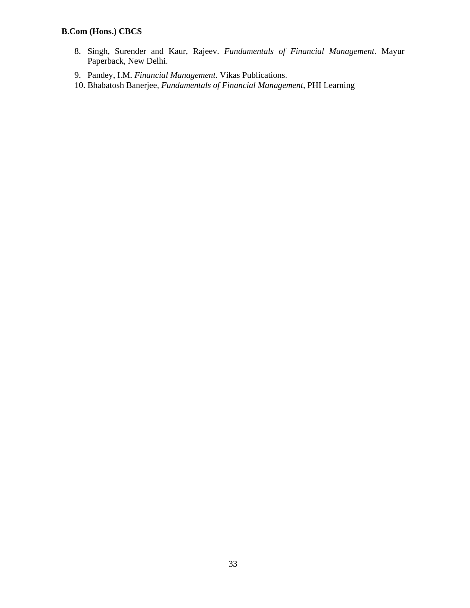- 8. Singh, Surender and Kaur, Rajeev. *Fundamentals of Financial Management*. Mayur Paperback, New Delhi.
- 9. Pandey, I.M. *Financial Management*. Vikas Publications.
- 10. Bhabatosh Banerjee, *Fundamentals of Financial Management,* PHI Learning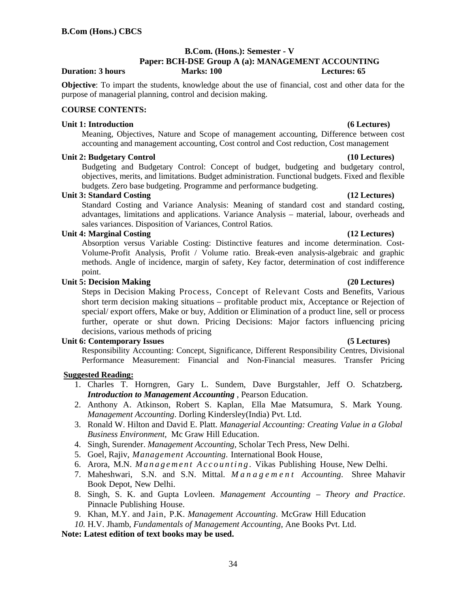# **B.Com. (Hons.): Semester - V**

### **Paper: BCH-DSE Group A (a): MANAGEMENT ACCOUNTING Duration: 3 hours Marks: 100 Lectures: 65**

**Objective**: To impart the students, knowledge about the use of financial, cost and other data for the purpose of managerial planning, control and decision making.

### **COURSE CONTENTS:**

### **Unit 1: Introduction (6 Lectures)**

Meaning, Objectives, Nature and Scope of management accounting, Difference between cost accounting and management accounting, Cost control and Cost reduction, Cost management

### Unit 2: Budgetary Control (10 Lectures)

Budgeting and Budgetary Control: Concept of budget, budgeting and budgetary control, objectives, merits, and limitations. Budget administration. Functional budgets. Fixed and flexible budgets. Zero base budgeting. Programme and performance budgeting.

### **Unit 3: Standard Costing (12 Lectures)**

Standard Costing and Variance Analysis: Meaning of standard cost and standard costing, advantages, limitations and applications. Variance Analysis – material, labour, overheads and sales variances. Disposition of Variances, Control Ratios.

### **Unit 4: Marginal Costing (12 Lectures)**

Absorption versus Variable Costing: Distinctive features and income determination. Cost-Volume-Profit Analysis, Profit / Volume ratio. Break-even analysis-algebraic and graphic methods. Angle of incidence, margin of safety, Key factor, determination of cost indifference point.

# **Unit 5: Decision Making (20 Lectures)**

Steps in Decision Making Process, Concept of Relevant Costs and Benefits, Various short term decision making situations – profitable product mix, Acceptance or Rejection of special/ export offers, Make or buy, Addition or Elimination of a product line, sell or process further, operate or shut down. Pricing Decisions: Major factors influencing pricing decisions, various methods of pricing

### Unit 6: Contemporary Issues (5 Lectures)

Responsibility Accounting: Concept, Significance, Different Responsibility Centres, Divisional Performance Measurement: Financial and Non-Financial measures. Transfer Pricing

# **Suggested Reading:**

- 1. Charles T. Horngren, Gary L. Sundem, Dave Burgstahler, Jeff O. Schatzberg**.**  *Introduction to Management Accounting* , Pearson Education.
- 2. Anthony A. Atkinson, Robert S. Kaplan, Ella Mae Matsumura, S. Mark Young. *Management Accounting*. Dorling Kindersley(India) Pvt. Ltd.
- 3. Ronald W. Hilton and David E. Platt. *Managerial Accounting: Creating Value in a Global Business Environment,* Mc Graw Hill Education.
- 4. Singh, Surender. *Management Accounting,* Scholar Tech Press, New Delhi.
- 5. Goel, Rajiv, *Management Accounting*. International Book House,
- 6. Arora, M.N. *M a n a g e m e n t A c c o u n t i n g .* Vikas Publishing House, New Delhi.
- 7. Maheshwari, S.N. and S.N. Mittal. *M a n a g e m e n t Accounting*. Shree Mahavir Book Depot, New Delhi.
- 8. Singh, S. K. and Gupta Lovleen. *Management Accounting Theory and Practice*. Pinnacle Publishing House.
- 9. Khan, M.Y. and Jain, P.K. *Management Accounting*. McGraw Hill Education
- *10.* H.V. Jhamb, *Fundamentals of Management Accounting,* Ane Books Pvt. Ltd.

**Note: Latest edition of text books may be used.**

34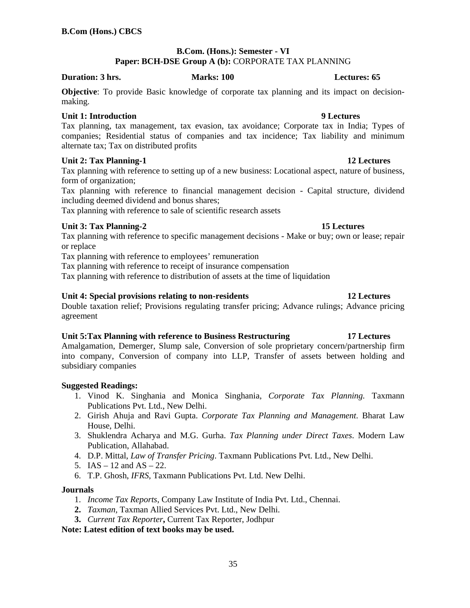# **B.Com. (Hons.): Semester - VI Paper: BCH-DSE Group A (b):** CORPORATE TAX PLANNING

### **Duration: 3 hrs.** Marks: 100 **Marks: 100** Lectures: 65

**Objective**: To provide Basic knowledge of corporate tax planning and its impact on decisionmaking.

# **Unit 1: Introduction 9 Lectures**

Tax planning, tax management, tax evasion, tax avoidance; Corporate tax in India; Types of companies; Residential status of companies and tax incidence; Tax liability and minimum alternate tax; Tax on distributed profits

# **Unit 2: Tax Planning-1** 12 Lectures

Tax planning with reference to setting up of a new business: Locational aspect, nature of business, form of organization;

Tax planning with reference to financial management decision - Capital structure, dividend including deemed dividend and bonus shares;

Tax planning with reference to sale of scientific research assets

# **Unit 3: Tax Planning-2** 15 Lectures

Tax planning with reference to specific management decisions - Make or buy; own or lease; repair or replace

Tax planning with reference to employees' remuneration

Tax planning with reference to receipt of insurance compensation

Tax planning with reference to distribution of assets at the time of liquidation

# **Unit 4: Special provisions relating to non-residents 12 Lectures**

Double taxation relief; Provisions regulating transfer pricing; Advance rulings; Advance pricing agreement

# **Unit 5:Tax Planning with reference to Business Restructuring 17 Lectures**

Amalgamation, Demerger, Slump sale, Conversion of sole proprietary concern/partnership firm into company, Conversion of company into LLP, Transfer of assets between holding and subsidiary companies

# **Suggested Readings:**

- 1. Vinod K. Singhania and Monica Singhania, *Corporate Tax Planning.* Taxmann Publications Pvt. Ltd., New Delhi.
- 2. Girish Ahuja and Ravi Gupta. *Corporate Tax Planning and Management*. Bharat Law House, Delhi.
- 3. Shuklendra Acharya and M.G. Gurha. *Tax Planning under Direct Taxes*. Modern Law Publication, Allahabad.
- 4. D.P. Mittal, *Law of Transfer Pricing*. Taxmann Publications Pvt. Ltd., New Delhi.
- 5.  $IAS 12$  and  $AS 22$ .
- 6. T.P. Ghosh, *IFRS,* Taxmann Publications Pvt. Ltd. New Delhi.

### **Journals**

- 1. *Income Tax Reports*, Company Law Institute of India Pvt. Ltd., Chennai.
- **2.** *Taxman,* Taxman Allied Services Pvt. Ltd., New Delhi.
- **3.** *Current Tax Reporter***,** Current Tax Reporter, Jodhpur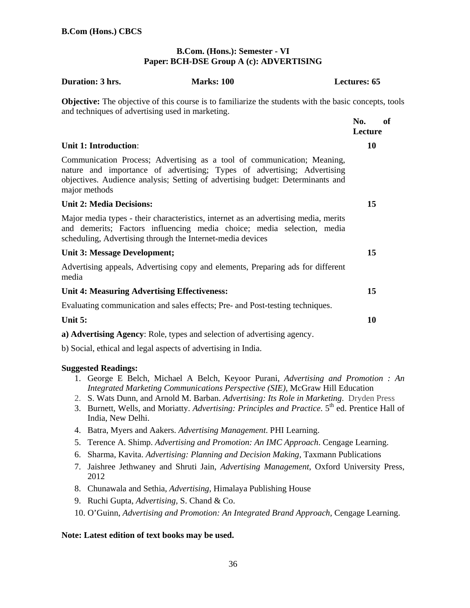# **B.Com. (Hons.): Semester - VI Paper: BCH-DSE Group A (c): ADVERTISING**

| Duration: 3 hrs.                                              | <b>Marks: 100</b>                                                                                                                                                                                                                    | <b>Lectures: 65</b>  |  |
|---------------------------------------------------------------|--------------------------------------------------------------------------------------------------------------------------------------------------------------------------------------------------------------------------------------|----------------------|--|
| and techniques of advertising used in marketing.              | <b>Objective:</b> The objective of this course is to familiarize the students with the basic concepts, tools                                                                                                                         |                      |  |
|                                                               |                                                                                                                                                                                                                                      | No.<br>of<br>Lecture |  |
| <b>Unit 1: Introduction:</b>                                  |                                                                                                                                                                                                                                      | 10                   |  |
| major methods                                                 | Communication Process; Advertising as a tool of communication; Meaning,<br>nature and importance of advertising; Types of advertising; Advertising<br>objectives. Audience analysis; Setting of advertising budget: Determinants and |                      |  |
| <b>Unit 2: Media Decisions:</b>                               |                                                                                                                                                                                                                                      | 15                   |  |
| scheduling, Advertising through the Internet-media devices    | Major media types - their characteristics, internet as an advertising media, merits<br>and demerits; Factors influencing media choice; media selection, media                                                                        |                      |  |
| <b>Unit 3: Message Development;</b>                           |                                                                                                                                                                                                                                      | 15                   |  |
| media                                                         | Advertising appeals, Advertising copy and elements, Preparing ads for different                                                                                                                                                      |                      |  |
| <b>Unit 4: Measuring Advertising Effectiveness:</b>           |                                                                                                                                                                                                                                      | 15                   |  |
|                                                               | Evaluating communication and sales effects; Pre- and Post-testing techniques.                                                                                                                                                        |                      |  |
| Unit 5:                                                       |                                                                                                                                                                                                                                      | 10                   |  |
|                                                               | a) Advertising Agency: Role, types and selection of advertising agency.                                                                                                                                                              |                      |  |
| b) Social, ethical and legal aspects of advertising in India. |                                                                                                                                                                                                                                      |                      |  |

### **Suggested Readings:**

- 1. George E Belch, Michael A Belch, Keyoor Purani, *Advertising and Promotion : An Integrated Marketing Communications Perspective (SIE)*, McGraw Hill Education
- 2. S. Wats Dunn, and Arnold M. Barban. *Advertising: Its Role in Marketing*. Dryden Press
- 3. Burnett, Wells, and Moriatty. *Advertising: Principles and Practice*. 5<sup>th</sup> ed. Prentice Hall of India, New Delhi.
- 4. Batra, Myers and Aakers. *Advertising Management*. PHI Learning.
- 5. Terence A. Shimp. *Advertising and Promotion: An IMC Approach*. Cengage Learning.
- 6. Sharma, Kavita. *Advertising: Planning and Decision Making,* Taxmann Publications
- 7. Jaishree Jethwaney and Shruti Jain, *Advertising Management*, Oxford University Press, 2012
- 8. Chunawala and Sethia, *Advertising,* Himalaya Publishing House
- 9. Ruchi Gupta, *Advertising,* S. Chand & Co.
- 10. O'Guinn, *Advertising and Promotion: An Integrated Brand Approach,* Cengage Learning.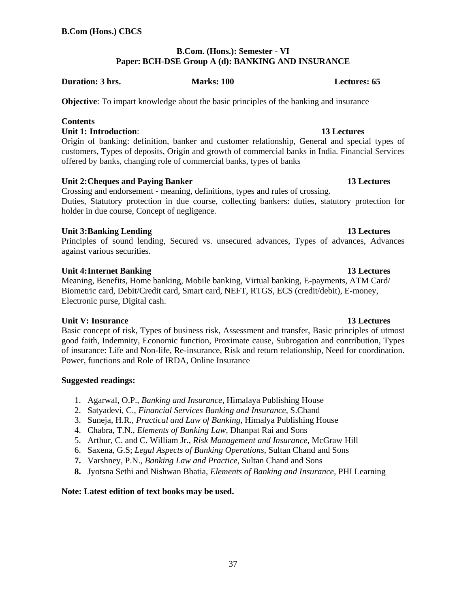# **B.Com. (Hons.): Semester - VI Paper: BCH-DSE Group A (d): BANKING AND INSURANCE**

**Duration: 3 hrs. Marks: 100 Lectures: 65** 

**Objective**: To impart knowledge about the basic principles of the banking and insurance

# **Contents**

**Unit 1: Introduction**: **13 Lectures** 

Origin of banking: definition, banker and customer relationship, General and special types of customers, Types of deposits, Origin and growth of commercial banks in India. Financial Services offered by banks, changing role of commercial banks, types of banks

# Unit 2: Cheques and Paying Banker **13 Lectures 13 Lectures**

Crossing and endorsement - meaning, definitions, types and rules of crossing. Duties, Statutory protection in due course, collecting bankers: duties, statutory protection for holder in due course, Concept of negligence.

# **Unit 3: Banking Lending 13 Lectures**

Principles of sound lending, Secured vs. unsecured advances, Types of advances, Advances against various securities.

# **Unit 4: Internet Banking 13 Lectures**

Meaning, Benefits, Home banking, Mobile banking, Virtual banking, E-payments, ATM Card/ Biometric card, Debit/Credit card, Smart card, NEFT, RTGS, ECS (credit/debit), E-money, Electronic purse, Digital cash.

# **Unit V: Insurance 13 Lectures**

Basic concept of risk, Types of business risk, Assessment and transfer, Basic principles of utmost good faith, Indemnity, Economic function, Proximate cause, Subrogation and contribution, Types of insurance: Life and Non-life, Re-insurance, Risk and return relationship, Need for coordination. Power, functions and Role of IRDA, Online Insurance

# **Suggested readings:**

- 1. Agarwal, O.P., *Banking and Insurance*, Himalaya Publishing House
- 2. Satyadevi, C., *Financial Services Banking and Insurance*, S.Chand
- 3. Suneja, H.R., *Practical and Law of Banking*, Himalya Publishing House
- 4. Chabra, T.N., *Elements of Banking Law*, Dhanpat Rai and Sons
- 5. Arthur, C. and C. William Jr., *Risk Management and Insurance*, McGraw Hill
- 6. Saxena, G.S; *Legal Aspects of Banking Operations*, Sultan Chand and Sons
- **7.** Varshney, P.N., *Banking Law and Practice*, Sultan Chand and Sons
- **8.** Jyotsna Sethi and Nishwan Bhatia, *Elements of Banking and Insurance,* PHI Learning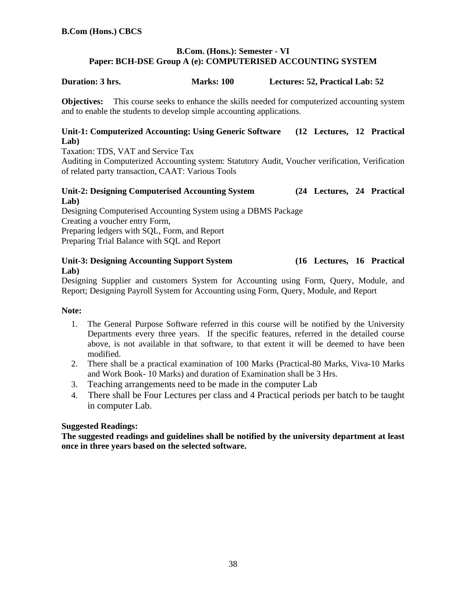# **B.Com. (Hons.): Semester - VI Paper: BCH-DSE Group A (e): COMPUTERISED ACCOUNTING SYSTEM**

# **Duration: 3 hrs. Marks: 100 Lectures: 52, Practical Lab: 52**

**Objectives:** This course seeks to enhance the skills needed for computerized accounting system and to enable the students to develop simple accounting applications.

# **Unit-1: Computerized Accounting: Using Generic Software (12 Lectures, 12 Practical Lab)**

Taxation: TDS, VAT and Service Tax

Auditing in Computerized Accounting system: Statutory Audit, Voucher verification, Verification of related party transaction, CAAT: Various Tools

# **Unit-2: Designing Computerised Accounting System (24 Lectures, 24 Practical Lab)**

Designing Computerised Accounting System using a DBMS Package Creating a voucher entry Form, Preparing ledgers with SQL, Form, and Report Preparing Trial Balance with SQL and Report

**Unit-3: Designing Accounting Support System (16 Lectures, 16 Practical Lab)**

Designing Supplier and customers System for Accounting using Form, Query, Module, and Report; Designing Payroll System for Accounting using Form, Query, Module, and Report

# **Note:**

- 1. The General Purpose Software referred in this course will be notified by the University Departments every three years. If the specific features, referred in the detailed course above, is not available in that software, to that extent it will be deemed to have been modified.
- 2. There shall be a practical examination of 100 Marks (Practical-80 Marks, Viva-10 Marks and Work Book- 10 Marks) and duration of Examination shall be 3 Hrs.
- 3. Teaching arrangements need to be made in the computer Lab
- 4. There shall be Four Lectures per class and 4 Practical periods per batch to be taught in computer Lab.

### **Suggested Readings:**

**The suggested readings and guidelines shall be notified by the university department at least once in three years based on the selected software.**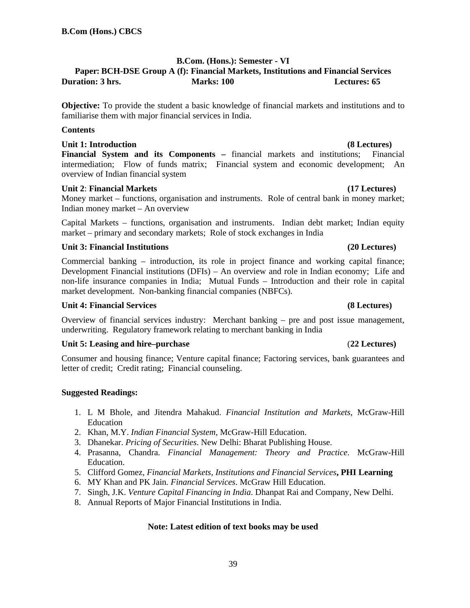# **B.Com. (Hons.): Semester - VI**

# **Paper: BCH-DSE Group A (f): Financial Markets, Institutions and Financial Services Duration: 3 hrs. Marks: 100 Lectures: 65**

**Objective:** To provide the student a basic knowledge of financial markets and institutions and to familiarise them with major financial services in India.

### **Contents**

# Unit 1: Introduction **(8 Lectures) (8 Lectures)**

**Financial System and its Components –** financial markets and institutions; Financial intermediation; Flow of funds matrix; Financial system and economic development; An overview of Indian financial system

# **Unit 2**: **Financial Markets (17 Lectures)**

Money market – functions, organisation and instruments. Role of central bank in money market; Indian money market – An overview

Capital Markets – functions, organisation and instruments. Indian debt market; Indian equity market – primary and secondary markets; Role of stock exchanges in India

# **Unit 3: Financial Institutions (20 Lectures)**

Commercial banking – introduction, its role in project finance and working capital finance; Development Financial institutions (DFIs) – An overview and role in Indian economy; Life and non-life insurance companies in India; Mutual Funds – Introduction and their role in capital market development. Non-banking financial companies (NBFCs).

# **Unit 4: Financial Services (8 Lectures)**

Overview of financial services industry: Merchant banking – pre and post issue management, underwriting. Regulatory framework relating to merchant banking in India

# **Unit 5: Leasing and hire–purchase** (**22 Lectures)**

Consumer and housing finance; Venture capital finance; Factoring services, bank guarantees and letter of credit; Credit rating; Financial counseling.

# **Suggested Readings:**

- 1. L M Bhole, and Jitendra Mahakud. *Financial Institution and Markets*, McGraw-Hill Education
- 2. Khan, M.Y. *Indian Financial System,* McGraw-Hill Education.
- 3. Dhanekar. *Pricing of Securities*. New Delhi: Bharat Publishing House.
- 4. Prasanna, Chandra. *Financial Management: Theory and Practice*. McGraw-Hill Education.
- 5. Clifford Gomez, *Financial Markets, Institutions and Financial Services***, PHI Learning**
- 6. MY Khan and PK Jain*. Financial Services*. McGraw Hill Education.
- 7. Singh, J.K. *Venture Capital Financing in India*. Dhanpat Rai and Company, New Delhi.
- 8. Annual Reports of Major Financial Institutions in India.

# **Note: Latest edition of text books may be used**

### 39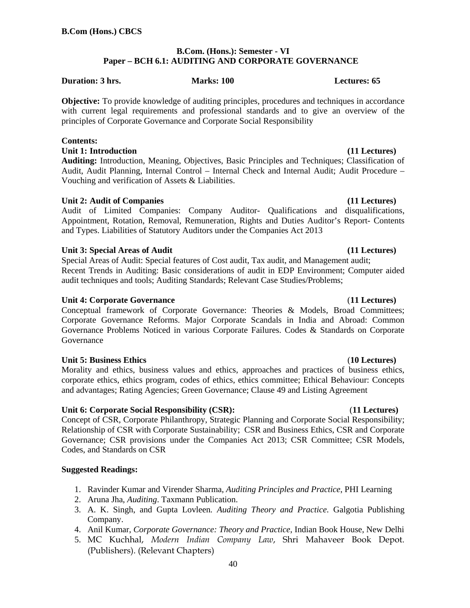# **B.Com. (Hons.): Semester - VI Paper – BCH 6.1: AUDITING AND CORPORATE GOVERNANCE**

### **Duration: 3 hrs.** Marks: 100 **Marks: 100 Lectures: 65**

**Objective:** To provide knowledge of auditing principles, procedures and techniques in accordance with current legal requirements and professional standards and to give an overview of the principles of Corporate Governance and Corporate Social Responsibility

# **Contents:**

Unit 1: Introduction **(11 Lectures)** *CON* 

**Auditing:** Introduction, Meaning, Objectives, Basic Principles and Techniques; Classification of Audit, Audit Planning, Internal Control – Internal Check and Internal Audit; Audit Procedure – Vouching and verification of Assets & Liabilities.

# Unit 2: Audit of Companies **(11 Lectures) 11 Lectures**

Audit of Limited Companies: Company Auditor- Qualifications and disqualifications, Appointment, Rotation, Removal, Remuneration, Rights and Duties Auditor's Report- Contents and Types. Liabilities of Statutory Auditors under the Companies Act 2013

# Unit 3: Special Areas of Audit (11 Lectures) **(11 Lectures)**

Special Areas of Audit: Special features of Cost audit, Tax audit, and Management audit; Recent Trends in Auditing: Basic considerations of audit in EDP Environment; Computer aided audit techniques and tools; Auditing Standards; Relevant Case Studies/Problems;

# **Unit 4: Corporate Governance** (**11 Lectures)**

Conceptual framework of Corporate Governance: Theories & Models, Broad Committees; Corporate Governance Reforms. Major Corporate Scandals in India and Abroad: Common Governance Problems Noticed in various Corporate Failures. Codes & Standards on Corporate Governance

# **Unit 5: Business Ethics** (**10 Lectures)**

Morality and ethics, business values and ethics, approaches and practices of business ethics, corporate ethics, ethics program, codes of ethics, ethics committee; Ethical Behaviour: Concepts and advantages; Rating Agencies; Green Governance; Clause 49 and Listing Agreement

# **Unit 6: Corporate Social Responsibility (CSR):** (**11 Lectures)**

Concept of CSR, Corporate Philanthropy, Strategic Planning and Corporate Social Responsibility; Relationship of CSR with Corporate Sustainability; CSR and Business Ethics, CSR and Corporate Governance; CSR provisions under the Companies Act 2013; CSR Committee; CSR Models, Codes, and Standards on CSR

# **Suggested Readings:**

- 1. Ravinder Kumar and Virender Sharma, *Auditing Principles and Practice*, PHI Learning
- 2. Aruna Jha, *Auditing*. Taxmann Publication.
- 3. A. K. Singh, and Gupta Lovleen*. Auditing Theory and Practice*. Galgotia Publishing Company.
- 4. Anil Kumar, *Corporate Governance: Theory and Practice*, Indian Book House, New Delhi
- 5. MC Kuchhal, *Modern Indian Company Law*, Shri Mahaveer Book Depot. (Publishers). (Relevant Chapters)

### 40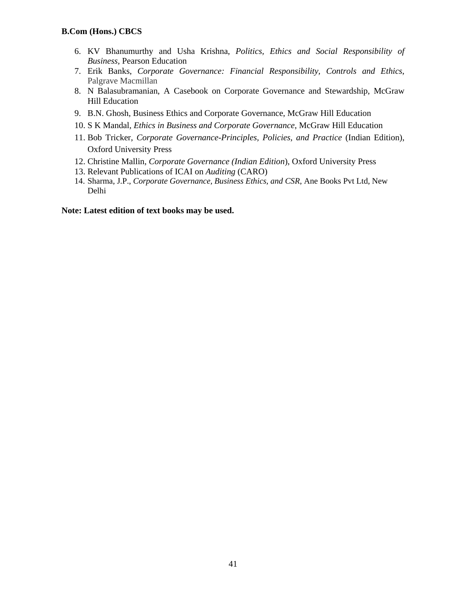- 6. KV Bhanumurthy and Usha Krishna, *Politics, Ethics and Social Responsibility of Business,* Pearson Education
- 7. Erik Banks, *Corporate Governance: Financial Responsibility, Controls and Ethics*, Palgrave Macmillan
- 8. N Balasubramanian, A Casebook on Corporate Governance and Stewardship, McGraw Hill Education
- 9. B.N. Ghosh, Business Ethics and Corporate Governance, McGraw Hill Education
- 10. S K Mandal*, Ethics in Business and Corporate Governance*, McGraw Hill Education
- 11. Bob Tricker, *Corporate Governance-Principles, Policies, and Practice* (Indian Edition), Oxford University Press
- 12. Christine Mallin, *Corporate Governance (Indian Edition*), Oxford University Press
- 13. Relevant Publications of ICAI on *Auditing* (CARO)
- 14. Sharma, J.P., *Corporate Governance, Business Ethics, and CSR*, Ane Books Pvt Ltd, New Delhi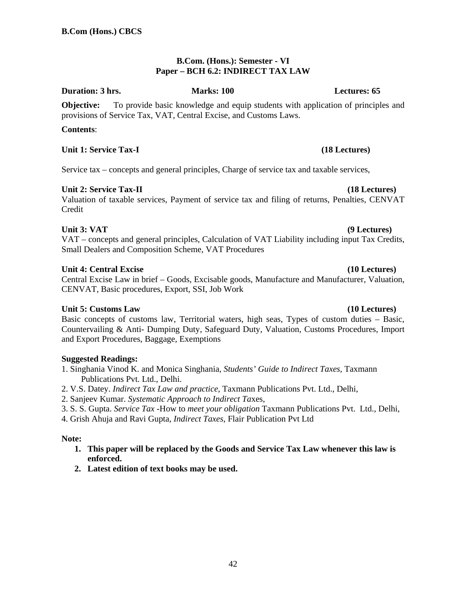# **B.Com. (Hons.): Semester - VI Paper – BCH 6.2: INDIRECT TAX LAW**

### **Duration: 3 hrs. Marks: 100 Lectures: 65**

**Objective:** To provide basic knowledge and equip students with application of principles and provisions of Service Tax, VAT, Central Excise, and Customs Laws.

# **Contents**:

# Unit 1: Service Tax-I (18 Lectures)

Service tax – concepts and general principles, Charge of service tax and taxable services,

# Unit 2: Service Tax-II (18 Lectures)

Valuation of taxable services, Payment of service tax and filing of returns, Penalties, CENVAT Credit

# Unit 3: VAT (9 Lectures)

VAT – concepts and general principles, Calculation of VAT Liability including input Tax Credits, Small Dealers and Composition Scheme, VAT Procedures

# **Unit 4: Central Excise (10 Lectures)**

Central Excise Law in brief – Goods, Excisable goods, Manufacture and Manufacturer, Valuation, CENVAT, Basic procedures, Export, SSI, Job Work

# **Unit 5: Customs Law (10 Lectures)**

Basic concepts of customs law, Territorial waters, high seas, Types of custom duties – Basic, Countervailing & Anti- Dumping Duty, Safeguard Duty, Valuation, Customs Procedures, Import and Export Procedures, Baggage, Exemptions

# **Suggested Readings:**

- 1. Singhania Vinod K. and Monica Singhania, *Students' Guide to Indirect Taxes,* Taxmann Publications Pvt. Ltd., Delhi.
- 2. V.S. Datey. *Indirect Tax Law and practice,* Taxmann Publications Pvt. Ltd., Delhi,
- 2. Sanjeev Kumar. *Systematic Approach to Indirect Ta*xes,
- 3. S. S. Gupta. *Service Tax -*How to *meet your obligation* Taxmann Publications Pvt. Ltd., Delhi,
- 4. Grish Ahuja and Ravi Gupta, *Indirect Taxes*, Flair Publication Pvt Ltd

# **Note:**

- **1. This paper will be replaced by the Goods and Service Tax Law whenever this law is enforced.**
- **2. Latest edition of text books may be used.**

42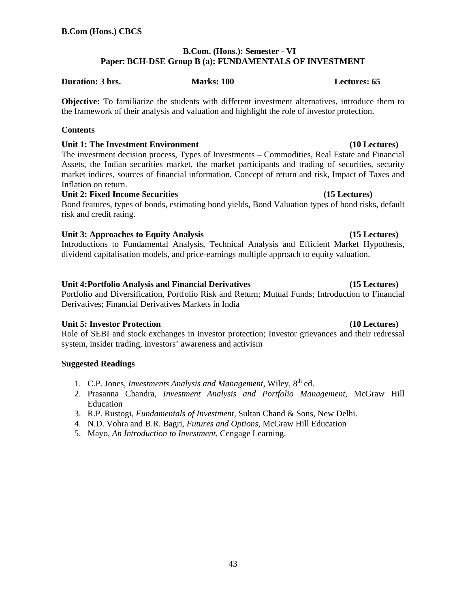# **B.Com. (Hons.): Semester - VI Paper: BCH-DSE Group B (a): FUNDAMENTALS OF INVESTMENT**

### **Duration: 3 hrs. Marks: 100 Lectures: 65**

**Objective:** To familiarize the students with different investment alternatives, introduce them to the framework of their analysis and valuation and highlight the role of investor protection.

### **Contents**

# Unit 1: The Investment Environment *Unit 1:* The Investment **Environment 10** Lectures)

The investment decision process, Types of Investments – Commodities, Real Estate and Financial Assets, the Indian securities market, the market participants and trading of securities, security market indices, sources of financial information, Concept of return and risk, Impact of Taxes and Inflation on return.

# Unit 2: Fixed Income Securities **and Contact Contact Contact Contact Contact Contact Contact Contact Contact Contact Contact Contact Contact Contact Contact Contact Contact Contact Contact Contact Contact Contact Contact C**

Bond features, types of bonds, estimating bond yields, Bond Valuation types of bond risks, default risk and credit rating.

# Unit 3: Approaches to Equity Analysis **1996** (15 Lectures)

Introductions to Fundamental Analysis, Technical Analysis and Efficient Market Hypothesis, dividend capitalisation models, and price-earnings multiple approach to equity valuation.

# **Unit 4: Portfolio Analysis and Financial Derivatives (15 Lectures)**

Portfolio and Diversification, Portfolio Risk and Return; Mutual Funds; Introduction to Financial Derivatives; Financial Derivatives Markets in India

# Unit 5: Investor Protection **by Contract Contract Contract Contract Contract Contract Contract Contract Contract Contract Contract Contract Contract Contract Contract Contract Contract Contract Contract Contract Contract C**

Role of SEBI and stock exchanges in investor protection; Investor grievances and their redressal system, insider trading, investors' awareness and activism

# **Suggested Readings**

- 1. C.P. Jones, *Investments Analysis and Management*, Wiley, 8th ed.
- 2. Prasanna Chandra, *Investment Analysis and Portfolio Management*, McGraw Hill Education
- 3. R.P. Rustogi, *Fundamentals of Investment,* Sultan Chand & Sons, New Delhi.
- 4. N.D. Vohra and B.R. Bagri, *Futures and Options*, McGraw Hill Education
- 5. Mayo, *An Introduction to Investment,* Cengage Learning.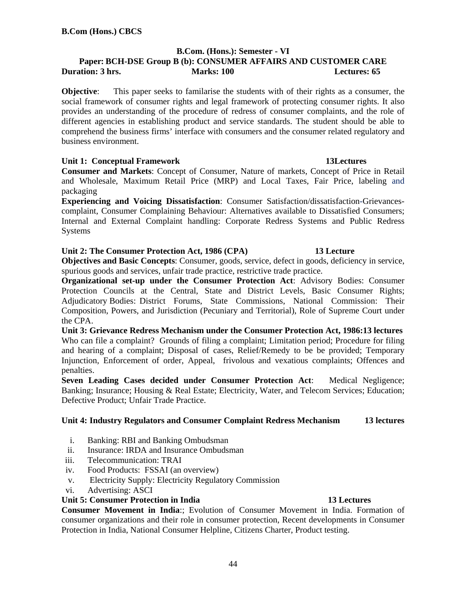# **B.Com. (Hons.): Semester - VI Paper: BCH-DSE Group B (b): CONSUMER AFFAIRS AND CUSTOMER CARE Duration: 3 hrs.** Marks: 100 **Marks: 100 Lectures: 65**

**Objective**: This paper seeks to familarise the students with of their rights as a consumer, the social framework of consumer rights and legal framework of protecting consumer rights. It also provides an understanding of the procedure of redress of consumer complaints, and the role of different agencies in establishing product and service standards. The student should be able to comprehend the business firms' interface with consumers and the consumer related regulatory and business environment.

# **Unit 1: Conceptual Framework 13Lectures**

**Consumer and Markets**: Concept of Consumer, Nature of markets, Concept of Price in Retail and Wholesale, Maximum Retail Price (MRP) and Local Taxes, Fair Price, labeling and packaging

**Experiencing and Voicing Dissatisfaction**: Consumer Satisfaction/dissatisfaction-Grievancescomplaint, Consumer Complaining Behaviour: Alternatives available to Dissatisfied Consumers; Internal and External Complaint handling: Corporate Redress Systems and Public Redress Systems

# **Unit 2: The Consumer Protection Act, 1986 (CPA) 13 Lecture**

**Objectives and Basic Concepts**: Consumer, goods, service, defect in goods, deficiency in service, spurious goods and services, unfair trade practice, restrictive trade practice.

**Organizational set-up under the Consumer Protection Act**: Advisory Bodies: Consumer Protection Councils at the Central, State and District Levels, Basic Consumer Rights; Adjudicatory Bodies: District Forums, State Commissions, National Commission: Their Composition, Powers, and Jurisdiction (Pecuniary and Territorial), Role of Supreme Court under the CPA.

**Unit 3: Grievance Redress Mechanism under the Consumer Protection Act, 1986:13 lectures** Who can file a complaint? Grounds of filing a complaint; Limitation period; Procedure for filing and hearing of a complaint; Disposal of cases, Relief/Remedy to be be provided; Temporary Injunction, Enforcement of order, Appeal, frivolous and vexatious complaints; Offences and penalties.

**Seven Leading Cases decided under Consumer Protection Act**: Medical Negligence; Banking; Insurance; Housing & Real Estate; Electricity, Water, and Telecom Services; Education; Defective Product; Unfair Trade Practice.

# **Unit 4: Industry Regulators and Consumer Complaint Redress Mechanism 13 lectures**

- i. Banking: RBI and Banking Ombudsman
- ii. Insurance: IRDA and Insurance Ombudsman
- iii. Telecommunication: TRAI
- iv. Food Products: FSSAI (an overview)
- v. Electricity Supply: Electricity Regulatory Commission
- vi. Advertising: ASCI

### **Unit 5: Consumer Protection in India 13 Lectures**

**Consumer Movement in India**:; Evolution of Consumer Movement in India. Formation of consumer organizations and their role in consumer protection, Recent developments in Consumer Protection in India, National Consumer Helpline, Citizens Charter, Product testing.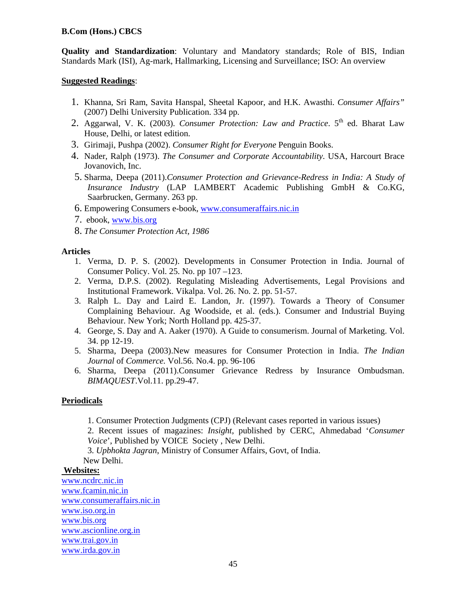**Quality and Standardization**: Voluntary and Mandatory standards; Role of BIS, Indian Standards Mark (ISI), Ag-mark, Hallmarking, Licensing and Surveillance; ISO: An overview

### **Suggested Readings**:

- 1. Khanna, Sri Ram, Savita Hanspal, Sheetal Kapoor, and H.K. Awasthi. *Consumer Affairs"* (2007) Delhi University Publication. 334 pp.
- 2. Aggarwal, V. K. (2003). *Consumer Protection: Law and Practice*. 5<sup>th</sup> ed. Bharat Law House, Delhi, or latest edition.
- 3. Girimaji, Pushpa (2002). *Consumer Right for Everyone* Penguin Books.
- 4. Nader, Ralph (1973). *The Consumer and Corporate Accountability*. USA, Harcourt Brace Jovanovich, Inc.
- 5. Sharma, Deepa (2011).*Consumer Protection and Grievance-Redress in India: A Study of Insurance Industry* (LAP LAMBERT Academic Publishing GmbH & Co.KG, Saarbrucken, Germany. 263 pp.
- 6. Empowering Consumers e-book, www.consumeraffairs.nic.in
- 7. ebook, www.bis.org
- 8. *The Consumer Protection Act, 1986*

# **Articles**

- 1. Verma, D. P. S. (2002). Developments in Consumer Protection in India. Journal of Consumer Policy. Vol. 25. No. pp 107 –123.
- 2. Verma, D.P.S. (2002). Regulating Misleading Advertisements, Legal Provisions and Institutional Framework. Vikalpa. Vol. 26. No. 2. pp. 51-57.
- 3. Ralph L. Day and Laird E. Landon, Jr. (1997). Towards a Theory of Consumer Complaining Behaviour. Ag Woodside, et al. (eds.). Consumer and Industrial Buying Behaviour. New York; North Holland pp. 425-37.
- 4. George, S. Day and A. Aaker (1970). A Guide to consumerism. Journal of Marketing. Vol. 34. pp 12-19.
- 5. Sharma, Deepa (2003).New measures for Consumer Protection in India. *The Indian Journal* of *Commerce.* Vol.56. No.4. pp. 96-106
- 6. Sharma, Deepa (2011).Consumer Grievance Redress by Insurance Ombudsman. *BIMAQUEST*.Vol.11. pp.29-47.

# **Periodicals**

1. Consumer Protection Judgments (CPJ) (Relevant cases reported in various issues)

2. Recent issues of magazines: *Insight*, published by CERC, Ahmedabad '*Consumer Voice*', Published by VOICE Society , New Delhi.

3. *Upbhokta Jagran*, Ministry of Consumer Affairs, Govt, of India.

New Delhi.

### **Websites:**

www.ncdrc.nic.in www.fcamin.nic.in www.consumeraffairs.nic.in www.iso.org.in www.bis.org www.ascionline.org.in www.trai.gov.in www.irda.gov.in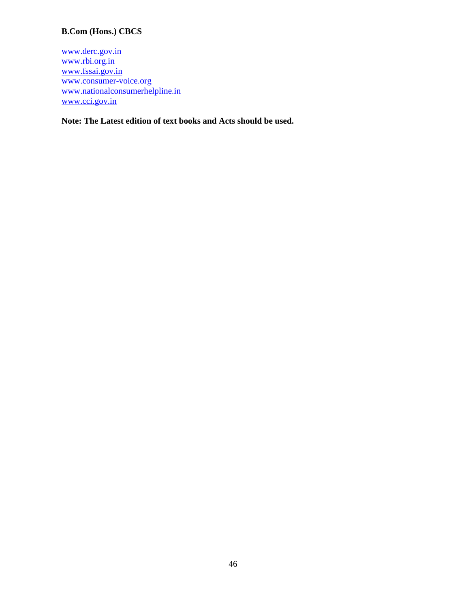www.derc.gov.in www.rbi.org.in www.fssai.gov.in www.consumer-voice.org www.nationalconsumerhelpline.in www.cci.gov.in

**Note: The Latest edition of text books and Acts should be used.**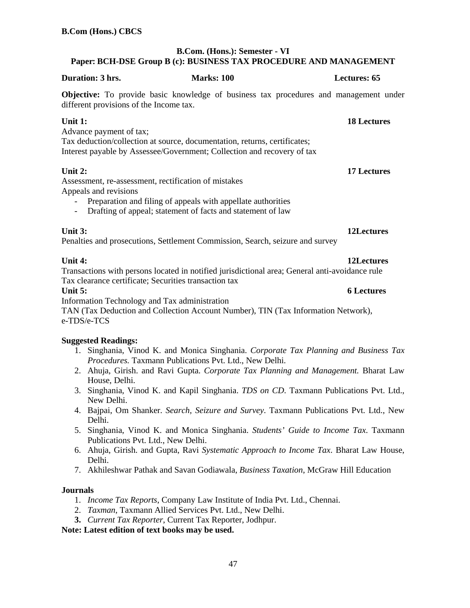# **B.Com. (Hons.): Semester - VI Paper: BCH-DSE Group B (c): BUSINESS TAX PROCEDURE AND MANAGEMENT**

| Duration: 3 hrs.                                                                                                                                                                                                                                      | <b>Marks: 100</b> |  | <b>Lectures: 65</b> |
|-------------------------------------------------------------------------------------------------------------------------------------------------------------------------------------------------------------------------------------------------------|-------------------|--|---------------------|
| <b>Objective:</b> To provide basic knowledge of business tax procedures and management under<br>different provisions of the Income tax.                                                                                                               |                   |  |                     |
| Unit 1:<br>Advance payment of tax;<br>Tax deduction/collection at source, documentation, returns, certificates;<br>Interest payable by Assessee/Government; Collection and recovery of tax                                                            |                   |  | <b>18 Lectures</b>  |
| Unit $2:$<br>Assessment, re-assessment, rectification of mistakes<br>Appeals and revisions<br>Preparation and filing of appeals with appellate authorities<br>Drafting of appeal; statement of facts and statement of law<br>$\overline{\phantom{a}}$ |                   |  | <b>17 Lectures</b>  |
| Unit 3:<br>Penalties and prosecutions, Settlement Commission, Search, seizure and survey                                                                                                                                                              |                   |  | 12Lectures          |
| Unit 4:<br>Transactions with persons located in notified jurisdictional area; General anti-avoidance rule<br>Tax clearance certificate; Securities transaction tax                                                                                    |                   |  | 12Lectures          |
| Unit $5:$                                                                                                                                                                                                                                             |                   |  | <b>6 Lectures</b>   |
| Information Technology and Tax administration<br>TAN (Tax Deduction and Collection Account Number), TIN (Tax Information Network),<br>e-TDS/e-TCS                                                                                                     |                   |  |                     |

# **Suggested Readings:**

- 1. Singhania, Vinod K. and Monica Singhania. *Corporate Tax Planning and Business Tax Procedures.* Taxmann Publications Pvt. Ltd., New Delhi.
- 2. Ahuja, Girish. and Ravi Gupta. *Corporate Tax Planning and Management.* Bharat Law House, Delhi.
- 3. Singhania, Vinod K. and Kapil Singhania. *TDS on CD*. Taxmann Publications Pvt. Ltd., New Delhi.
- 4. Bajpai, Om Shanker. *Search, Seizure and Survey*. Taxmann Publications Pvt. Ltd., New Delhi.
- 5. Singhania, Vinod K. and Monica Singhania. *Students' Guide to Income Tax*. Taxmann Publications Pvt. Ltd., New Delhi.
- 6. Ahuja, Girish. and Gupta, Ravi *Systematic Approach to Income Tax*. Bharat Law House, Delhi.
- 7. Akhileshwar Pathak and Savan Godiawala, *Business Taxation*, McGraw Hill Education

### **Journals**

- 1. *Income Tax Reports*, Company Law Institute of India Pvt. Ltd., Chennai.
- 2. *Taxman*, Taxmann Allied Services Pvt. Ltd., New Delhi.
- **3.** *Current Tax Reporter*, Current Tax Reporter, Jodhpur.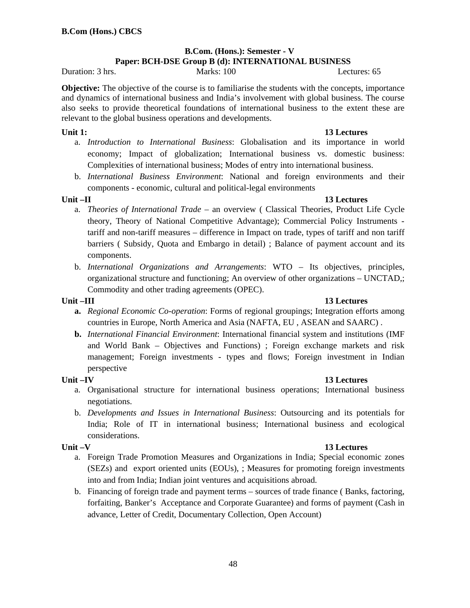### **B.Com. (Hons.): Semester - V Paper: BCH-DSE Group B (d): INTERNATIONAL BUSINESS**

Duration: 3 hrs. Marks: 100 Lectures: 65

**Objective:** The objective of the course is to familiarise the students with the concepts, importance and dynamics of international business and India's involvement with global business. The course also seeks to provide theoretical foundations of international business to the extent these are relevant to the global business operations and developments.

# **Unit 1:** 13 Lectures

- a. *Introduction to International Business*: Globalisation and its importance in world economy; Impact of globalization; International business vs. domestic business: Complexities of international business; Modes of entry into international business.
- b. *International Business Environment*: National and foreign environments and their components - economic, cultural and political-legal environments

# Unit –II 13 Lectures **13 Lectures**

- a. *Theories of International Trade* an overview ( Classical Theories, Product Life Cycle theory, Theory of National Competitive Advantage); Commercial Policy Instruments tariff and non-tariff measures – difference in Impact on trade, types of tariff and non tariff barriers ( Subsidy, Quota and Embargo in detail) ; Balance of payment account and its components.
- b. *International Organizations and Arrangements*: WTO Its objectives, principles, organizational structure and functioning; An overview of other organizations – UNCTAD,; Commodity and other trading agreements (OPEC).

# Unit –III 13 Lectures **13 Lectures**

- **a.** *Regional Economic Co-operation*: Forms of regional groupings; Integration efforts among countries in Europe, North America and Asia (NAFTA, EU , ASEAN and SAARC) .
- **b.** *International Financial Environment*: International financial system and institutions (IMF and World Bank – Objectives and Functions) ; Foreign exchange markets and risk management; Foreign investments - types and flows; Foreign investment in Indian perspective

# Unit –IV 13 Lectures **13 Lectures**

- a. Organisational structure for international business operations; International business negotiations.
- b. *Developments and Issues in International Business*: Outsourcing and its potentials for India; Role of IT in international business; International business and ecological considerations.

# Unit –V 13 Lectures

- a. Foreign Trade Promotion Measures and Organizations in India; Special economic zones (SEZs) and export oriented units (EOUs), ; Measures for promoting foreign investments into and from India; Indian joint ventures and acquisitions abroad.
- b. Financing of foreign trade and payment terms sources of trade finance ( Banks, factoring, forfaiting, Banker's Acceptance and Corporate Guarantee) and forms of payment (Cash in advance, Letter of Credit, Documentary Collection, Open Account)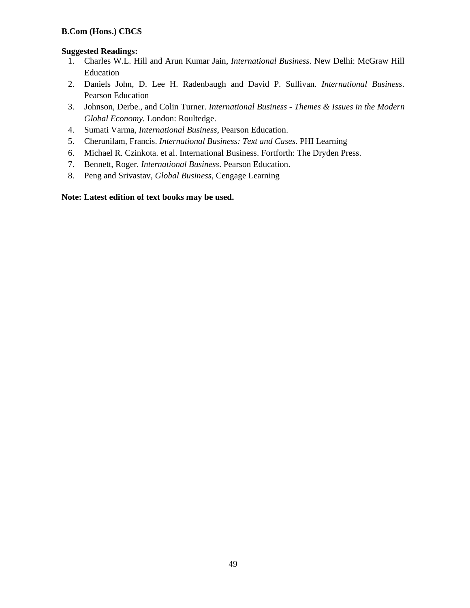# **Suggested Readings:**

- 1. Charles W.L. Hill and Arun Kumar Jain, *International Business*. New Delhi: McGraw Hill Education
- 2. Daniels John, D. Lee H. Radenbaugh and David P. Sullivan. *International Business*. Pearson Education
- 3. Johnson, Derbe., and Colin Turner. *International Business Themes & Issues in the Modern Global Economy*. London: Roultedge.
- 4. Sumati Varma, *International Business*, Pearson Education.
- 5. Cherunilam, Francis. *International Business: Text and Cases*. PHI Learning
- 6. Michael R. Czinkota. et al. International Business. Fortforth: The Dryden Press.
- 7. Bennett, Roger. *International Business*. Pearson Education.
- 8. Peng and Srivastav, *Global Business*, Cengage Learning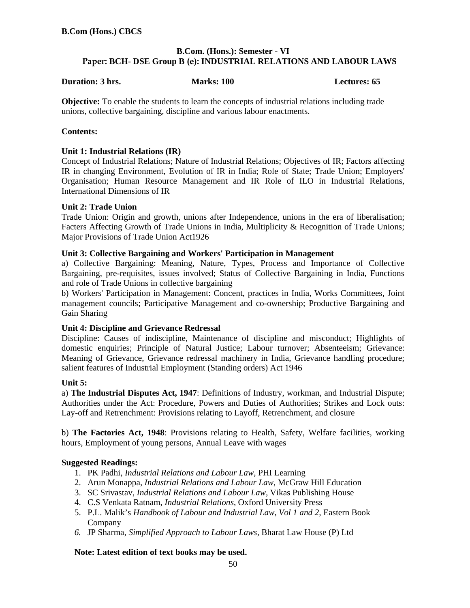# **B.Com. (Hons.): Semester - VI Paper: BCH- DSE Group B (e): INDUSTRIAL RELATIONS AND LABOUR LAWS**

### **Duration: 3 hrs.** Marks: 100 **Marks: 100** Lectures: 65

**Objective:** To enable the students to learn the concepts of industrial relations including trade unions, collective bargaining, discipline and various labour enactments.

# **Contents:**

# **Unit 1: Industrial Relations (IR)**

Concept of Industrial Relations; Nature of Industrial Relations; Objectives of IR; Factors affecting IR in changing Environment, Evolution of IR in India; Role of State; Trade Union; Employers' Organisation; Human Resource Management and IR Role of ILO in Industrial Relations, International Dimensions of IR

# **Unit 2: Trade Union**

Trade Union: Origin and growth, unions after Independence, unions in the era of liberalisation; Facters Affecting Growth of Trade Unions in India, Multiplicity & Recognition of Trade Unions; Major Provisions of Trade Union Act1926

### **Unit 3: Collective Bargaining and Workers' Participation in Management**

a) Collective Bargaining: Meaning, Nature, Types, Process and Importance of Collective Bargaining, pre-requisites, issues involved; Status of Collective Bargaining in India, Functions and role of Trade Unions in collective bargaining

b) Workers' Participation in Management: Concent, practices in India, Works Committees, Joint management councils; Participative Management and co-ownership; Productive Bargaining and Gain Sharing

### **Unit 4: Discipline and Grievance Redressal**

Discipline: Causes of indiscipline, Maintenance of discipline and misconduct; Highlights of domestic enquiries; Principle of Natural Justice; Labour turnover; Absenteeism; Grievance: Meaning of Grievance, Grievance redressal machinery in India, Grievance handling procedure; salient features of Industrial Employment (Standing orders) Act 1946

### **Unit 5:**

a) **The Industrial Disputes Act, 1947**: Definitions of Industry, workman, and Industrial Dispute; Authorities under the Act: Procedure, Powers and Duties of Authorities; Strikes and Lock outs: Lay-off and Retrenchment: Provisions relating to Layoff, Retrenchment, and closure

b) **The Factories Act, 1948**: Provisions relating to Health, Safety, Welfare facilities, working hours, Employment of young persons, Annual Leave with wages

# **Suggested Readings:**

- 1. PK Padhi, *Industrial Relations and Labour Law*, PHI Learning
- 2. Arun Monappa, *Industrial Relations and Labour Law*, McGraw Hill Education
- 3. SC Srivastav, *Industrial Relations and Labour Law*, Vikas Publishing House
- 4. C.S Venkata Ratnam, *Industrial Relations*, Oxford University Press
- 5. P.L. Malik's *Handbook of Labour and Industrial Law, Vol 1 and 2,* Eastern Book Company
- *6.* JP Sharma*, Simplified Approach to Labour Laws,* Bharat Law House (P) Ltd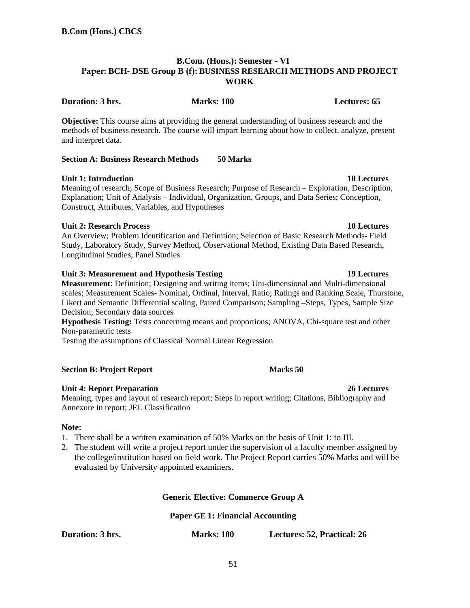# **B.Com. (Hons.): Semester - VI Paper: BCH- DSE Group B (f): BUSINESS RESEARCH METHODS AND PROJECT WORK**

**Objective:** This course aims at providing the general understanding of business research and the methods of business research. The course will impart learning about how to collect, analyze, present and interpret data.

### **Section A: Business Research Methods 50 Marks**

### **Unit 1: Introduction 10 Lectures 10 Lectures**

Meaning of research; Scope of Business Research; Purpose of Research – Exploration, Description, Explanation; Unit of Analysis – Individual, Organization, Groups, and Data Series; Conception, Construct, Attributes, Variables, and Hypotheses

### **Unit 2: Research Process 10 Lectures**

An Overview; Problem Identification and Definition; Selection of Basic Research Methods- Field Study, Laboratory Study, Survey Method, Observational Method, Existing Data Based Research, Longitudinal Studies, Panel Studies

### **Unit 3: Measurement and Hypothesis Testing 19 Lectures**

**Measurement**: Definition; Designing and writing items; Uni-dimensional and Multi-dimensional scales; Measurement Scales- Nominal, Ordinal, Interval, Ratio; Ratings and Ranking Scale, Thurstone, Likert and Semantic Differential scaling, Paired Comparison; Sampling –Steps, Types, Sample Size Decision; Secondary data sources

**Hypothesis Testing:** Tests concerning means and proportions; ANOVA, Chi-square test and other Non-parametric tests

Testing the assumptions of Classical Normal Linear Regression

### **Section B: Project Report Marks 50 Marks 50**

### **Unit 4: Report Preparation 26 Lectures**

Meaning, types and layout of research report; Steps in report writing; Citations, Bibliography and Annexure in report; JEL Classification

### **Note:**

- 1. There shall be a written examination of 50% Marks on the basis of Unit 1: to III.
- 2. The student will write a project report under the supervision of a faculty member assigned by the college/institution based on field work. The Project Report carries 50% Marks and will be evaluated by University appointed examiners.

### **Generic Elective: Commerce Group A**

### **Paper GE 1: Financial Accounting**

**Duration: 3 hrs. Marks: 100 Lectures: 52, Practical: 26** 

**Duration: 3 hrs.** Marks: 100 **Marks: 100** Lectures: 65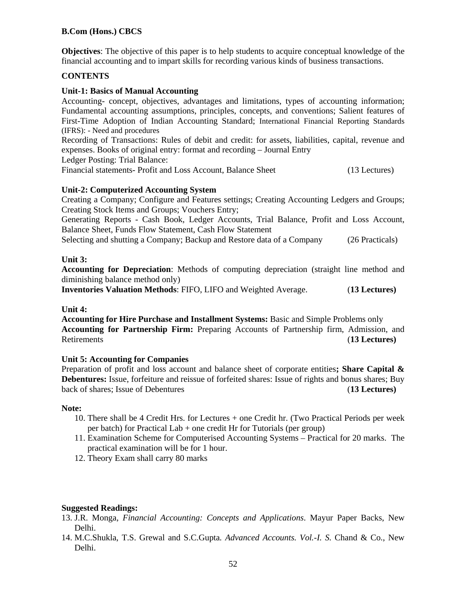**Objectives**: The objective of this paper is to help students to acquire conceptual knowledge of the financial accounting and to impart skills for recording various kinds of business transactions.

# **CONTENTS**

### **Unit-1: Basics of Manual Accounting**

Accounting- concept, objectives, advantages and limitations, types of accounting information; Fundamental accounting assumptions, principles, concepts, and conventions; Salient features of First-Time Adoption of Indian Accounting Standard; International Financial Reporting Standards (IFRS): - Need and procedures

Recording of Transactions: Rules of debit and credit: for assets, liabilities, capital, revenue and expenses. Books of original entry: format and recording – Journal Entry

Ledger Posting: Trial Balance:

Financial statements- Profit and Loss Account, Balance Sheet (13 Lectures)

# **Unit-2: Computerized Accounting System**

Creating a Company; Configure and Features settings; Creating Accounting Ledgers and Groups; Creating Stock Items and Groups; Vouchers Entry;

Generating Reports - Cash Book, Ledger Accounts, Trial Balance, Profit and Loss Account, Balance Sheet, Funds Flow Statement, Cash Flow Statement

Selecting and shutting a Company; Backup and Restore data of a Company (26 Practicals)

### **Unit 3:**

**Accounting for Depreciation**: Methods of computing depreciation (straight line method and diminishing balance method only)

**Inventories Valuation Methods**: FIFO, LIFO and Weighted Average. (**13 Lectures)**

### **Unit 4:**

**Accounting for Hire Purchase and Installment Systems:** Basic and Simple Problems only **Accounting for Partnership Firm:** Preparing Accounts of Partnership firm, Admission, and Retirements (**13 Lectures)**

### **Unit 5: Accounting for Companies**

Preparation of profit and loss account and balance sheet of corporate entities**; Share Capital & Debentures:** Issue, forfeiture and reissue of forfeited shares: Issue of rights and bonus shares; Buy back of shares; Issue of Debentures (**13 Lectures)**

### **Note:**

- 10. There shall be 4 Credit Hrs. for Lectures + one Credit hr. (Two Practical Periods per week per batch) for Practical Lab + one credit Hr for Tutorials (per group)
- 11. Examination Scheme for Computerised Accounting Systems Practical for 20 marks. The practical examination will be for 1 hour.
- 12. Theory Exam shall carry 80 marks

### **Suggested Readings:**

- 13. J.R. Monga, *Financial Accounting: Concepts and Applications*. Mayur Paper Backs, New Delhi.
- 14. M.C.Shukla, T.S. Grewal and S.C.Gupta*. Advanced Accounts. Vol.-I. S.* Chand & Co., New Delhi.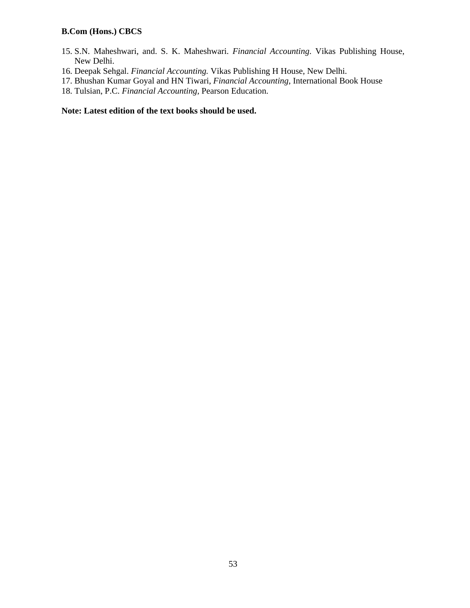- 15. S.N. Maheshwari, and. S. K. Maheshwari. *Financial Accounting*. Vikas Publishing House, New Delhi.
- 16. Deepak Sehgal. *Financial Accounting.* Vikas Publishing H House, New Delhi.
- 17. Bhushan Kumar Goyal and HN Tiwari, *Financial Accounting,* International Book House
- 18. Tulsian, P.C. *Financial Accounting,* Pearson Education.

# **Note: Latest edition of the text books should be used.**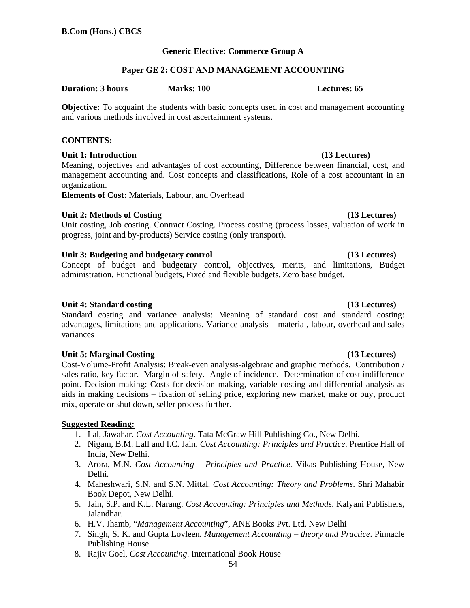54

# **Generic Elective: Commerce Group A**

# **Paper GE 2: COST AND MANAGEMENT ACCOUNTING**

### **Duration: 3 hours Marks: 100 Lectures: 65**

**Objective:** To acquaint the students with basic concepts used in cost and management accounting and various methods involved in cost ascertainment systems.

# **CONTENTS:**

# **Unit 1: Introduction (13 Lectures)**

Meaning, objectives and advantages of cost accounting, Difference between financial, cost, and management accounting and. Cost concepts and classifications, Role of a cost accountant in an organization.

**Elements of Cost:** Materials, Labour, and Overhead

# Unit 2: Methods of Costing **(13 Lectures) (13 Lectures)**

Unit costing, Job costing. Contract Costing. Process costing (process losses, valuation of work in progress, joint and by-products) Service costing (only transport).

# Unit 3: Budgeting and budgetary control (13 Lectures)

Concept of budget and budgetary control, objectives, merits, and limitations, Budget administration, Functional budgets, Fixed and flexible budgets, Zero base budget,

# Unit 4: Standard costing **(13 Lectures) 13**

Standard costing and variance analysis: Meaning of standard cost and standard costing: advantages, limitations and applications, Variance analysis – material, labour, overhead and sales variances

# Unit 5: Marginal Costing **(13 Lectures) 13**

Cost-Volume-Profit Analysis: Break-even analysis-algebraic and graphic methods. Contribution / sales ratio, key factor. Margin of safety. Angle of incidence. Determination of cost indifference point. Decision making: Costs for decision making, variable costing and differential analysis as aids in making decisions – fixation of selling price, exploring new market, make or buy, product mix, operate or shut down, seller process further.

# **Suggested Reading:**

- 1. Lal, Jawahar. *Cost Accounting*. Tata McGraw Hill Publishing Co., New Delhi.
- 2. Nigam, B.M. Lall and I.C. Jain. *Cost Accounting: Principles and Practice*. Prentice Hall of India, New Delhi.
- 3. Arora, M.N. *Cost Accounting Principles and Practice.* Vikas Publishing House, New Delhi.
- 4. Maheshwari, S.N. and S.N. Mittal. *Cost Accounting: Theory and Problems*. Shri Mahabir Book Depot, New Delhi.
- 5. Jain, S.P. and K.L. Narang. *Cost Accounting: Principles and Methods*. Kalyani Publishers, Jalandhar.
- 6. H.V. Jhamb, "*Management Accounting*", ANE Books Pvt. Ltd. New Delhi
- 7. Singh, S. K. and Gupta Lovleen. *Management Accounting theory and Practice*. Pinnacle Publishing House.
- 8. Rajiv Goel, *Cost Accounting*. International Book House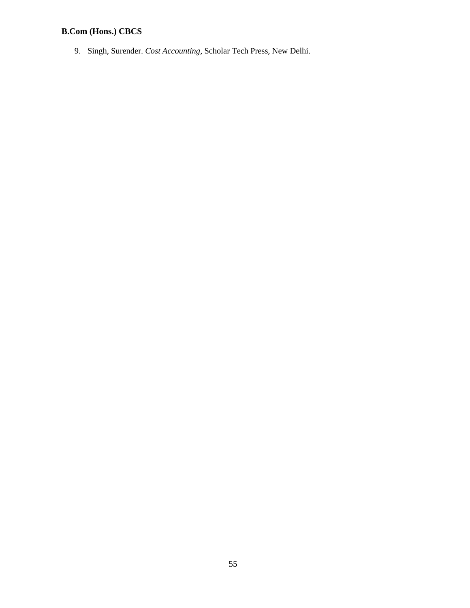9. Singh, Surender. *Cost Accounting,* Scholar Tech Press*,* New Delhi.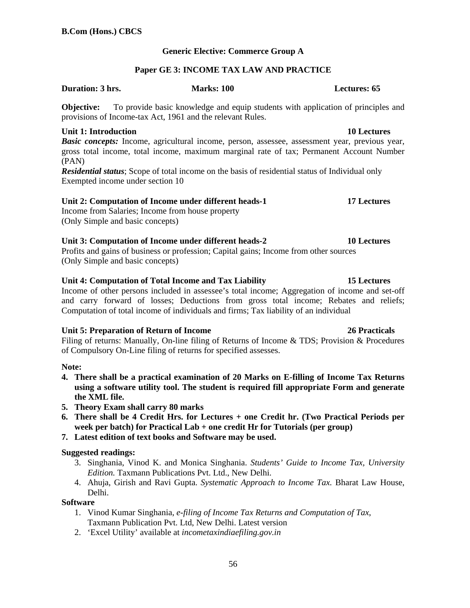# **Generic Elective: Commerce Group A**

# **Paper GE 3: INCOME TAX LAW AND PRACTICE**

### **Duration: 3 hrs. Marks: 100 Lectures: 65**

**Objective:** To provide basic knowledge and equip students with application of principles and provisions of Income-tax Act, 1961 and the relevant Rules.

# **Unit 1: Introduction 10 Lectures**

*Basic concepts:* Income, agricultural income, person, assessee, assessment year, previous year, gross total income, total income, maximum marginal rate of tax; Permanent Account Number (PAN)

*Residential status*; Scope of total income on the basis of residential status of Individual only Exempted income under section 10

# Unit 2: Computation of Income under different heads-1 17 Lectures

Income from Salaries; Income from house property (Only Simple and basic concepts)

# **Unit 3: Computation of Income under different heads-2 10 Lectures**

Profits and gains of business or profession; Capital gains; Income from other sources (Only Simple and basic concepts)

# **Unit 4: Computation of Total Income and Tax Liability 15 Lectures**

Income of other persons included in assessee's total income; Aggregation of income and set-off and carry forward of losses; Deductions from gross total income; Rebates and reliefs; Computation of total income of individuals and firms; Tax liability of an individual

# **Unit 5: Preparation of Return of Income 26 Practicals**

Filing of returns: Manually, On-line filing of Returns of Income & TDS; Provision & Procedures of Compulsory On-Line filing of returns for specified assesses.

### **Note:**

- **4. There shall be a practical examination of 20 Marks on E-filling of Income Tax Returns using a software utility tool. The student is required fill appropriate Form and generate the XML file.**
- **5. Theory Exam shall carry 80 marks**
- **6. There shall be 4 Credit Hrs. for Lectures + one Credit hr. (Two Practical Periods per week per batch) for Practical Lab + one credit Hr for Tutorials (per group)**
- **7. Latest edition of text books and Software may be used.**

# **Suggested readings:**

- 3. Singhania, Vinod K. and Monica Singhania. *Students' Guide to Income Tax, University Edition.* Taxmann Publications Pvt. Ltd., New Delhi.
- 4. Ahuja, Girish and Ravi Gupta. *Systematic Approach to Income Tax.* Bharat Law House, Delhi.

### **Software**

- 1. Vinod Kumar Singhania, *e-filing of Income Tax Returns and Computation of Tax*, Taxmann Publication Pvt. Ltd, New Delhi. Latest version
- 2. 'Excel Utility' available at *incometaxindiaefiling.gov.in*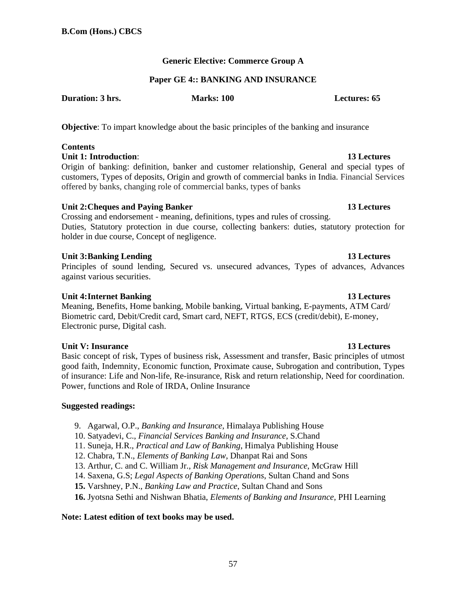# **Generic Elective: Commerce Group A**

### **Paper GE 4:: BANKING AND INSURANCE**

**Duration: 3 hrs.** Marks: 100 **Marks: 100 Lectures: 65** 

**Objective**: To impart knowledge about the basic principles of the banking and insurance

# **Contents**

**Unit 1: Introduction:** 13 Lectures

Origin of banking: definition, banker and customer relationship, General and special types of customers, Types of deposits, Origin and growth of commercial banks in India. Financial Services offered by banks, changing role of commercial banks, types of banks

# Unit 2: Cheques and Paying Banker **13 Lectures 13 Lectures**

Crossing and endorsement - meaning, definitions, types and rules of crossing. Duties, Statutory protection in due course, collecting bankers: duties, statutory protection for holder in due course, Concept of negligence.

# **Unit 3: Banking Lending**  13 Lectures **13 Lectures**

Principles of sound lending, Secured vs. unsecured advances, Types of advances, Advances against various securities.

# **Unit 4: Internet Banking 13 Lectures**

Meaning, Benefits, Home banking, Mobile banking, Virtual banking, E-payments, ATM Card/ Biometric card, Debit/Credit card, Smart card, NEFT, RTGS, ECS (credit/debit), E-money, Electronic purse, Digital cash.

# **Unit V: Insurance 13 Lectures**

Basic concept of risk, Types of business risk, Assessment and transfer, Basic principles of utmost good faith, Indemnity, Economic function, Proximate cause, Subrogation and contribution, Types of insurance: Life and Non-life, Re-insurance, Risk and return relationship, Need for coordination. Power, functions and Role of IRDA, Online Insurance

# **Suggested readings:**

9. Agarwal, O.P., *Banking and Insurance*, Himalaya Publishing House

10. Satyadevi, C., *Financial Services Banking and Insurance*, S.Chand

- 11. Suneja, H.R., *Practical and Law of Banking*, Himalya Publishing House
- 12. Chabra, T.N., *Elements of Banking Law*, Dhanpat Rai and Sons
- 13. Arthur, C. and C. William Jr., *Risk Management and Insurance*, McGraw Hill
- 14. Saxena, G.S; *Legal Aspects of Banking Operations*, Sultan Chand and Sons
- **15.** Varshney, P.N., *Banking Law and Practice*, Sultan Chand and Sons
- **16.** Jyotsna Sethi and Nishwan Bhatia, *Elements of Banking and Insurance,* PHI Learning

# **Note: Latest edition of text books may be used.**

# 57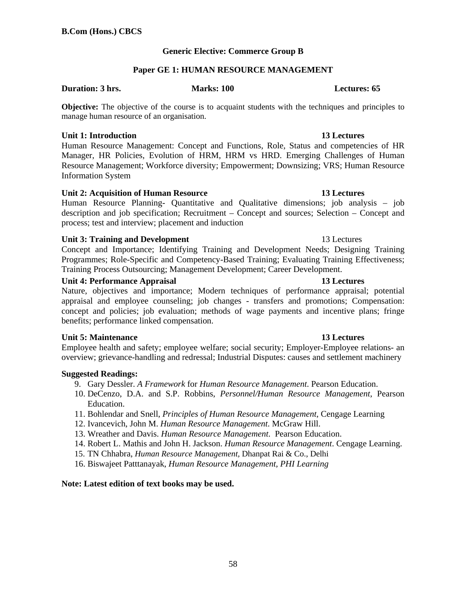# **Generic Elective: Commerce Group B**

### **Paper GE 1: HUMAN RESOURCE MANAGEMENT**

### **Duration: 3 hrs.** Marks: 100 **Marks: 100** Lectures: 65

**Objective:** The objective of the course is to acquaint students with the techniques and principles to manage human resource of an organisation.

### **Unit 1: Introduction 13 Lectures**

Human Resource Management: Concept and Functions, Role, Status and competencies of HR Manager, HR Policies, Evolution of HRM, HRM vs HRD. Emerging Challenges of Human Resource Management; Workforce diversity; Empowerment; Downsizing; VRS; Human Resource Information System

### **Unit 2: Acquisition of Human Resource 13 Lectures**

Human Resource Planning- Quantitative and Qualitative dimensions; job analysis – job description and job specification; Recruitment – Concept and sources; Selection – Concept and process; test and interview; placement and induction

### **Unit 3: Training and Development** 13 Lectures

Concept and Importance; Identifying Training and Development Needs; Designing Training Programmes; Role-Specific and Competency-Based Training; Evaluating Training Effectiveness; Training Process Outsourcing; Management Development; Career Development.

### Unit 4: Performance Appraisal **13 Lectures 13 Lectures**

Nature, objectives and importance; Modern techniques of performance appraisal; potential appraisal and employee counseling; job changes - transfers and promotions; Compensation: concept and policies; job evaluation; methods of wage payments and incentive plans; fringe benefits; performance linked compensation.

### **Unit 5: Maintenance 13 Lectures**

Employee health and safety; employee welfare; social security; Employer-Employee relations- an overview; grievance-handling and redressal; Industrial Disputes: causes and settlement machinery

### **Suggested Readings:**

- 9. Gary Dessler. *A Framework* for *Human Resource Management*. Pearson Education.
- 10. DeCenzo, D.A. and S.P. Robbins, *Personnel/Human Resource Management*, Pearson **Education**
- 11. Bohlendar and Snell, *Principles of Human Resource Management,* Cengage Learning
- 12. Ivancevich, John M. *Human Resource Management*. McGraw Hill.
- 13. Wreather and Davis. *Human Resource Management*. Pearson Education.
- 14. Robert L. Mathis and John H. Jackson. *Human Resource Management*. Cengage Learning.
- 15. TN Chhabra, *Human Resource Management,* Dhanpat Rai & Co., Delhi
- 16. Biswajeet Patttanayak, *Human Resource Management, PHI Learning*

### **Note: Latest edition of text books may be used.**

# 58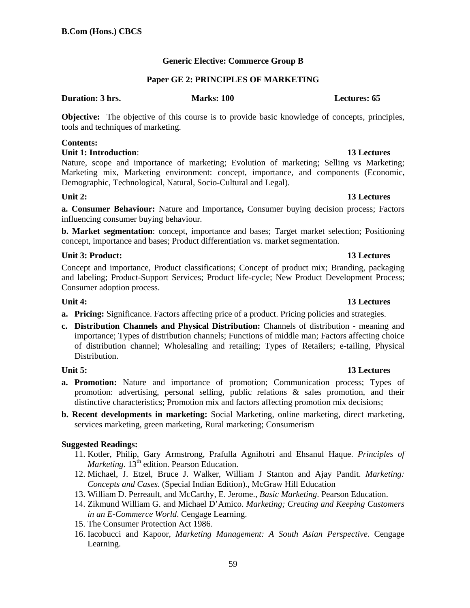# **Generic Elective: Commerce Group B**

# **Paper GE 2: PRINCIPLES OF MARKETING**

### **Duration: 3 hrs.** Marks: 100 **Marks: 100** Lectures: 65

**Objective:** The objective of this course is to provide basic knowledge of concepts, principles, tools and techniques of marketing.

### **Contents:**

### **Unit 1: Introduction**: **13 Lectures**

Nature, scope and importance of marketing; Evolution of marketing; Selling vs Marketing; Marketing mix, Marketing environment: concept, importance, and components (Economic, Demographic, Technological, Natural, Socio-Cultural and Legal).

**a. Consumer Behaviour:** Nature and Importance**,** Consumer buying decision process; Factors influencing consumer buying behaviour.

**b. Market segmentation**: concept, importance and bases; Target market selection; Positioning concept, importance and bases; Product differentiation vs. market segmentation.

# **Unit 3: Product:** 13 Lectures **13 Lectures**

Concept and importance, Product classifications; Concept of product mix; Branding, packaging and labeling; Product-Support Services; Product life-cycle; New Product Development Process; Consumer adoption process.

# **Unit 4:** 13 Lectures

- **a. Pricing:** Significance. Factors affecting price of a product. Pricing policies and strategies.
- **c. Distribution Channels and Physical Distribution:** Channels of distribution meaning and importance; Types of distribution channels; Functions of middle man; Factors affecting choice of distribution channel; Wholesaling and retailing; Types of Retailers; e-tailing, Physical Distribution.

- **a. Promotion:** Nature and importance of promotion; Communication process; Types of promotion: advertising, personal selling, public relations & sales promotion, and their distinctive characteristics; Promotion mix and factors affecting promotion mix decisions;
- **b. Recent developments in marketing:** Social Marketing, online marketing, direct marketing, services marketing, green marketing, Rural marketing; Consumerism

# **Suggested Readings:**

- 11. Kotler, Philip, Gary Armstrong, Prafulla Agnihotri and Ehsanul Haque. *Principles of Marketing*. 13<sup>th</sup> edition. Pearson Education.
- 12. Michael, J. Etzel, Bruce J. Walker, William J Stanton and Ajay Pandit. *Marketing: Concepts and Cases.* (Special Indian Edition)., McGraw Hill Education
- 13. William D. Perreault, and McCarthy, E. Jerome., *Basic Marketing*. Pearson Education.
- 14. Zikmund William G. and Michael D'Amico. *Marketing; Creating and Keeping Customers in an E-Commerce World*. Cengage Learning.
- 15. The Consumer Protection Act 1986.
- 16. Iacobucci and Kapoor, *Marketing Management: A South Asian Perspective*. Cengage Learning.

# 59

# **Unit 5:** 13 Lectures

# **Unit 2:** 13 Lectures **13 Lectures**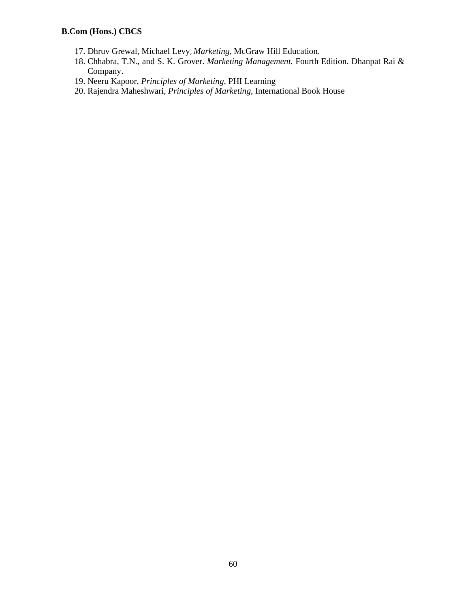- 17. Dhruv Grewal, Michael Levy, *Marketing,* McGraw Hill Education.
- 18. Chhabra, T.N., and S. K. Grover. *Marketing Management.* Fourth Edition. Dhanpat Rai & Company.
- 19. Neeru Kapoor, *Principles of Marketing*, PHI Learning
- 20. Rajendra Maheshwari, *Principles of Marketing*, International Book House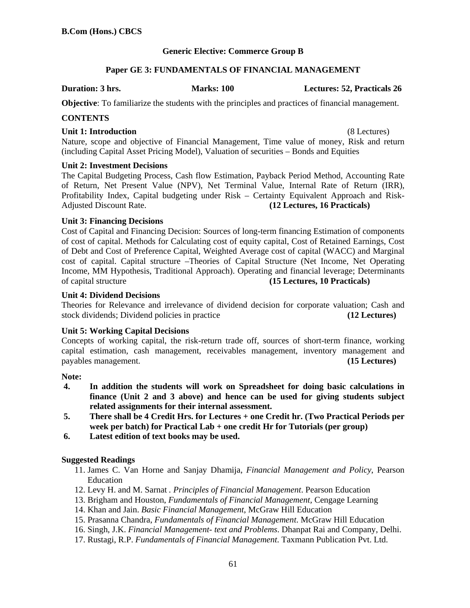# **Generic Elective: Commerce Group B**

# **Paper GE 3: FUNDAMENTALS OF FINANCIAL MANAGEMENT**

**Duration: 3 hrs. Marks: 100 Lectures: 52, Practicals 26** 

**Objective**: To familiarize the students with the principles and practices of financial management.

# **CONTENTS**

### **Unit 1: Introduction** (8 Lectures)

Nature, scope and objective of Financial Management, Time value of money, Risk and return (including Capital Asset Pricing Model), Valuation of securities – Bonds and Equities

### **Unit 2: Investment Decisions**

The Capital Budgeting Process, Cash flow Estimation, Payback Period Method, Accounting Rate of Return, Net Present Value (NPV), Net Terminal Value, Internal Rate of Return (IRR), Profitability Index, Capital budgeting under Risk – Certainty Equivalent Approach and Risk-Adjusted Discount Rate. **(12 Lectures, 16 Practicals)**

# **Unit 3: Financing Decisions**

Cost of Capital and Financing Decision: Sources of long-term financing Estimation of components of cost of capital. Methods for Calculating cost of equity capital, Cost of Retained Earnings, Cost of Debt and Cost of Preference Capital, Weighted Average cost of capital (WACC) and Marginal cost of capital. Capital structure –Theories of Capital Structure (Net Income, Net Operating Income, MM Hypothesis, Traditional Approach). Operating and financial leverage; Determinants of capital structure **(15 Lectures, 10 Practicals)**

# **Unit 4: Dividend Decisions**

Theories for Relevance and irrelevance of dividend decision for corporate valuation; Cash and stock dividends; Dividend policies in practice **(12 Lectures)**

### **Unit 5: Working Capital Decisions**

Concepts of working capital, the risk-return trade off, sources of short-term finance, working capital estimation, cash management, receivables management, inventory management and payables management. **(15 Lectures)**

### **Note:**

- **4. In addition the students will work on Spreadsheet for doing basic calculations in finance (Unit 2 and 3 above) and hence can be used for giving students subject related assignments for their internal assessment.**
- **5. There shall be 4 Credit Hrs. for Lectures + one Credit hr. (Two Practical Periods per week per batch) for Practical Lab + one credit Hr for Tutorials (per group)**
- **6. Latest edition of text books may be used.**

### **Suggested Readings**

- 11. James C. Van Horne and Sanjay Dhamija, *Financial Management and Policy*, Pearson Education
- 12. Levy H. and M. Sarnat *. Principles of Financial Management*. Pearson Education
- 13. Brigham and Houston, *Fundamentals of Financial Management,* Cengage Learning
- 14. Khan and Jain. *Basic Financial Management*, McGraw Hill Education
- 15. Prasanna Chandra, *Fundamentals of Financial Management*. McGraw Hill Education
- 16. Singh, J.K. *Financial Management- text and Problems*. Dhanpat Rai and Company, Delhi.
- 17. Rustagi, R.P. *Fundamentals of Financial Management*. Taxmann Publication Pvt. Ltd.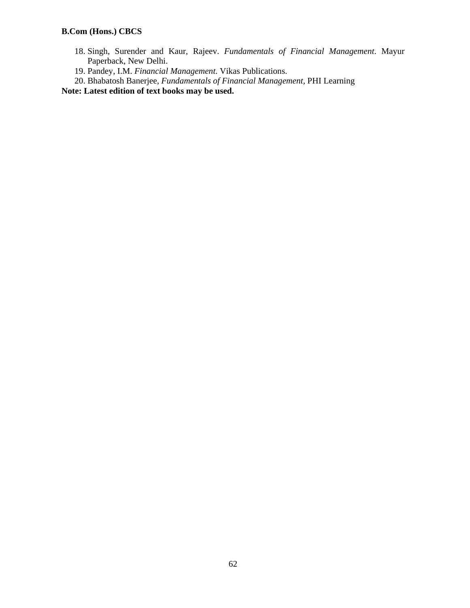- 18. Singh, Surender and Kaur, Rajeev. *Fundamentals of Financial Management*. Mayur Paperback, New Delhi.
- 19. Pandey, I.M. *Financial Management*. Vikas Publications.
- 20. Bhabatosh Banerjee, *Fundamentals of Financial Management,* PHI Learning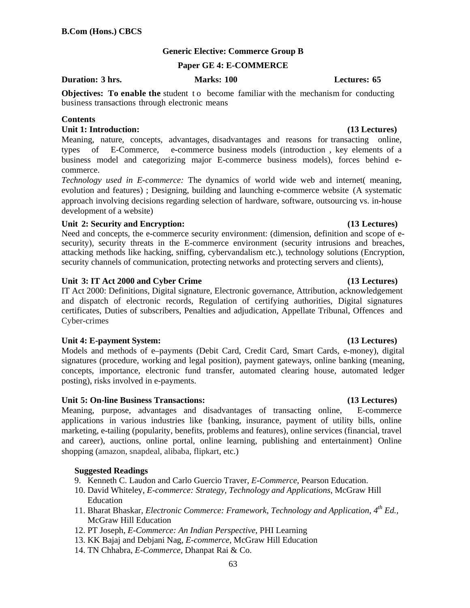# **Generic Elective: Commerce Group B**

### **Paper GE 4: E-COMMERCE**

### **Duration: 3 hrs. Marks: 100 Lectures: 65**

**Objectives: To enable the** student to become familiar with the mechanism for conducting business transactions through electronic means

### **Contents**

# **Unit 1: Introduction: (13 Lectures)**

Meaning, nature, concepts, advantages, disadvantages and reasons for transacting online, types of E-Commerce, e-commerce business models (introduction , key elements of a business model and categorizing major E-commerce business models), forces behind ecommerce.

*Technology used in E-commerce:* The dynamics of world wide web and internet( meaning, evolution and features) ; Designing, building and launching e-commerce website (A systematic approach involving decisions regarding selection of hardware, software, outsourcing vs. in-house development of a website)

# **Unit 2: Security and Encryption: (13 Lectures)**

Need and concepts, the e-commerce security environment: (dimension, definition and scope of esecurity), security threats in the E-commerce environment (security intrusions and breaches, attacking methods like hacking, sniffing, cybervandalism etc.), technology solutions (Encryption, security channels of communication, protecting networks and protecting servers and clients),

# Unit 3: IT Act 2000 and Cyber Crime (13 Lectures)

IT Act 2000: Definitions, Digital signature, Electronic governance, Attribution, acknowledgement and dispatch of electronic records, Regulation of certifying authorities, Digital signatures certificates, Duties of subscribers, Penalties and adjudication, Appellate Tribunal, Offences and Cyber-crimes

### Unit 4: E-payment System: (13 Lectures)

Models and methods of e–payments (Debit Card, Credit Card, Smart Cards, e-money), digital signatures (procedure, working and legal position), payment gateways, online banking (meaning, concepts, importance, electronic fund transfer, automated clearing house, automated ledger posting), risks involved in e-payments.

### **Unit 5: On-line Business Transactions: (13 Lectures)**

Meaning, purpose, advantages and disadvantages of transacting online, E-commerce applications in various industries like {banking, insurance, payment of utility bills, online marketing, e-tailing (popularity, benefits, problems and features), online services (financial, travel and career), auctions, online portal, online learning, publishing and entertainment} Online shopping (amazon, snapdeal, alibaba, flipkart, etc.)

### **Suggested Readings**

9. Kenneth C. Laudon and Carlo Guercio Traver, *E-Commerce*, Pearson Education.

- 10. David Whiteley, *E-commerce: Strategy, Technology and Applications*, McGraw Hill Education
- 11. Bharat Bhaskar, *Electronic Commerce: Framework, Technology and Application, 4th Ed.,*  McGraw Hill Education
- 12. PT Joseph, *E-Commerce: An Indian Perspective*, PHI Learning
- 13. KK Bajaj and Debjani Nag, *E-commerce,* McGraw Hill Education
- 14. TN Chhabra, *E-Commerce,* Dhanpat Rai & Co.